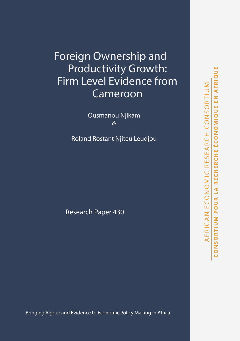# Foreign Ownership and Productivity Growth: Firm Level Evidence from Cameroon

Ousmanou Njikam &

Roland Rostant Njiteu Leudjou

Research Paper 430

Bringing Rigour and Evidence to Economic Policy Making in Africa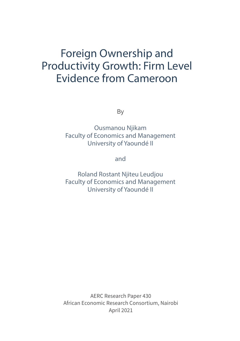# Foreign Ownership and Productivity Growth: Firm Level Evidence from Cameroon

By

Ousmanou Njikam Faculty of Economics and Management University of Yaoundé II

and

Roland Rostant Njiteu Leudjou Faculty of Economics and Management University of Yaoundé II

AERC Research Paper 430 African Economic Research Consortium, Nairobi April 2021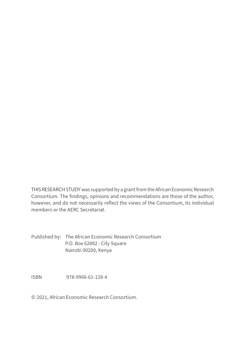THIS RESEARCH STUDY was supported by a grant from the African Economic Research Consortium. The findings, opinions and recommendations are those of the author, however, and do not necessarily reflect the views of the Consortium, its individual members or the AERC Secretariat.

Published by: The African Economic Research Consortium P.O. Box 62882 - City Square Nairobi 00200, Kenya

ISBN 978-9966-61-128-4

© 2021, African Economic Research Consortium.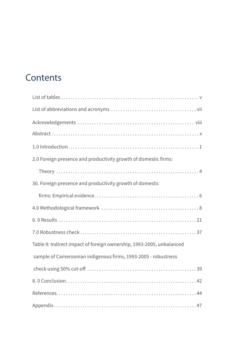# **Contents**

| 2.0 Foreign presence and productivity growth of domestic firms:      |
|----------------------------------------------------------------------|
|                                                                      |
| 30. Foreign presence and productivity growth of domestic             |
|                                                                      |
|                                                                      |
|                                                                      |
|                                                                      |
| Table 9: Indirect impact of foreign ownership, 1993-2005, unbalanced |
| sample of Cameroonian indigenous firms, 1993-2005 - robustness       |
|                                                                      |
|                                                                      |
|                                                                      |
|                                                                      |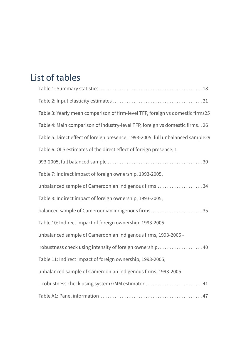# List of tables

| Table 3: Yearly mean comparison of firm-level TFP, foreign vs domestic firms25  |
|---------------------------------------------------------------------------------|
| Table 4: Main comparison of industry-level TFP, foreign vs domestic firms. . 26 |
| Table 5: Direct effect of foreign presence, 1993-2005, full unbalanced sample29 |
| Table 6: OLS estimates of the direct effect of foreign presence, 1              |
|                                                                                 |
| Table 7: Indirect impact of foreign ownership, 1993-2005,                       |
| unbalanced sample of Cameroonian indigenous firms 34                            |
| Table 8: Indirect impact of foreign ownership, 1993-2005,                       |
| balanced sample of Cameroonian indigenous firms35                               |
| Table 10: Indirect impact of foreign ownership, 1993-2005,                      |
| unbalanced sample of Cameroonian indigenous firms, 1993-2005 -                  |
| robustness check using intensity of foreign ownership 40                        |
| Table 11: Indirect impact of foreign ownership, 1993-2005,                      |
| unbalanced sample of Cameroonian indigenous firms, 1993-2005                    |
| - robustness check using system GMM estimator  41                               |
|                                                                                 |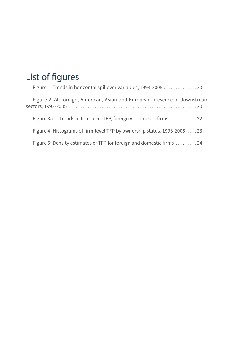# List of figures

| Figure 1: Trends in horizontal spillover variables, 1993-2005 20           |
|----------------------------------------------------------------------------|
| Figure 2: All foreign, American, Asian and European presence in downstream |
| Figure 3a-c: Trends in firm-level TFP, foreign vs domestic firms22         |
| Figure 4: Histograms of firm-level TFP by ownership status, 1993-200523    |
| Figure 5: Density estimates of TFP for foreign and domestic firms 24       |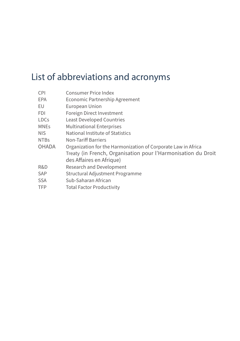# List of abbreviations and acronyms

| <b>CPI</b>   | <b>Consumer Price Index</b>                                   |
|--------------|---------------------------------------------------------------|
| <b>EPA</b>   | Economic Partnership Agreement                                |
| EU           | European Union                                                |
| <b>FDI</b>   | Foreign Direct Investment                                     |
| <b>LDCs</b>  | <b>Least Developed Countries</b>                              |
| <b>MNEs</b>  | <b>Multinational Enterprises</b>                              |
| <b>NIS</b>   | National Institute of Statistics                              |
| <b>NTBs</b>  | <b>Non-Tariff Barriers</b>                                    |
| <b>OHADA</b> | Organization for the Harmonization of Corporate Law in Africa |
|              | Treaty (in French, Organisation pour l'Harmonisation du Droit |
|              | des Affaires en Afrique)                                      |
| R&D          | Research and Development                                      |
| <b>SAP</b>   | Structural Adjustment Programme                               |
| <b>SSA</b>   | Sub-Saharan African                                           |
| <b>TFP</b>   | <b>Total Factor Productivity</b>                              |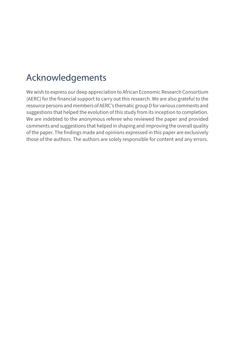# Acknowledgements

We wish to express our deep appreciation to African Economic Research Consortium (AERC) for the financial support to carry out this research. We are also grateful to the resource persons and members of AERC's thematic group D for various comments and suggestions that helped the evolution of this study from its inception to completion. We are indebted to the anonymous referee who reviewed the paper and provided comments and suggestions that helped in shaping and improving the overall quality of the paper. The findings made and opinions expressed in this paper are exclusively those of the authors. The authors are solely responsible for content and any errors.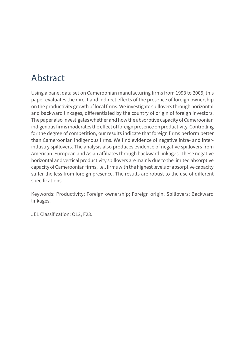# Abstract

Using a panel data set on Cameroonian manufacturing firms from 1993 to 2005, this paper evaluates the direct and indirect effects of the presence of foreign ownership on the productivity growth of local firms. We investigate spillovers through horizontal and backward linkages, differentiated by the country of origin of foreign investors. The paper also investigates whether and how the absorptive capacity of Cameroonian indigenous firms moderates the effect of foreign presence on productivity. Controlling for the degree of competition, our results indicate that foreign firms perform better than Cameroonian indigenous firms. We find evidence of negative intra- and interindustry spillovers. The analysis also produces evidence of negative spillovers from American, European and Asian affiliates through backward linkages. These negative horizontal and vertical productivity spillovers are mainly due to the limited absorptive capacity of Cameroonian firms, i.e., firms with the highest levels of absorptive capacity suffer the less from foreign presence. The results are robust to the use of different specifications.

Keywords: Productivity; Foreign ownership; Foreign origin; Spillovers; Backward linkages.

JEL Classification: O12, F23.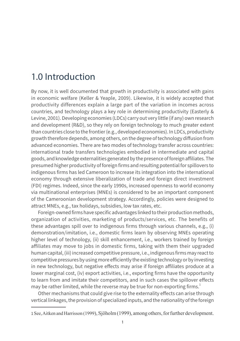## 1.0 Introduction

By now, it is well documented that growth in productivity is associated with gains in economic welfare (Keller & Yeaple, 2009). Likewise, it is widely accepted that productivity differences explain a large part of the variation in incomes across countries, and technology plays a key role in determining productivity (Easterly & Levine, 2001). Developing economies (LDCs) carry out very little (if any) own research and development (R&D), so they rely on foreign technology to much greater extent than countries close to the frontier (e.g., developed economies). In LDCs, productivity growth therefore depends, among others, on the degree of technology diffusion from advanced economies. There are two modes of technology transfer across countries: international trade transfers technologies embodied in intermediate and capital goods, and knowledge externalities generated by the presence of foreign affiliates. The presumed higher productivity of foreign firms and resulting potential for spillovers to indigenous firms has led Cameroon to increase its integration into the international economy through extensive liberalization of trade and foreign direct investment (FDI) regimes. Indeed, since the early 1990s, increased openness to world economy via multinational enterprises (MNEs) is considered to be an important component of the Cameroonian development strategy. Accordingly, policies were designed to attract MNEs, e.g., tax holidays, subsidies, low tax rates, etc.

Foreign-owned firms have specific advantages linked to their production methods, organization of activities, marketing of products/services, etc. The benefits of these advantages spill over to indigenous firms through various channels, e.g., (i) demonstration/imitation, i.e., domestic firms learn by observing MNEs operating higher level of technology, (ii) skill enhancement, i.e., workers trained by foreign affiliates may move to jobs in domestic firms, taking with them their upgraded human capital, (iii) increased competitive pressure, i.e., indigenous firms may react to competitive pressures by using more efficiently the existing technology or by investing in new technology, but negative effects may arise if foreign affiliates produce at a lower marginal cost, (iv) export activities, i.e., exporting firms have the opportunity to learn from and imitate their competitors, and in such cases the spillover effects may be rather limited, while the reverse may be true for non-exporting firms. $1$ 

Other mechanisms that could give rise to the externality effects can arise through vertical linkages, the provision of specialized inputs, and the nationality of the foreign

<sup>1</sup> See, Aitken and Harrisson (1999), Sjöholm (1999), among others, for further development.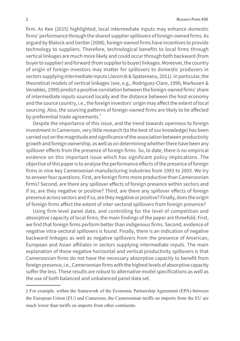firm. As Kee (2015) highlighted, local intermediate inputs may enhance domestic firms' performance through the shared supplier spillovers of foreign-owned firms. As argued by Blalock and Gertler (2008), foreign-owned firms have incentives to provide technology to suppliers. Therefore, technological benefits to local firms through vertical linkages are much more likely and could occur through both backward (from buyer to supplier) and forward (from supplier to buyer) linkages. Moreover, the country of origin of foreign investors may matter for spillovers to domestic producers in sectors supplying intermediate inputs (Javorcik & Spatareanu, 2011). In particular, the theoretical models of vertical linkages (see, e.g., Rodriguez-Clare, 1996; Markusen & Venables, 1999) predict a positive correlation between the foreign-owned firms' share of intermediate inputs sourced locally and the distance between the host economy and the source country, i.e., the foreign investors' origin may affect the extent of local sourcing. Also, the sourcing patterns of foreign-owned firms are likely to be affected by preferential trade agreements.<sup>2</sup>

Despite the importance of this issue, and the trend towards openness to foreign investment in Cameroon, very little research (to the best of our knowledge) has been carried out on the magnitude and significance of the association between productivity growth and foreign ownership, as well as on determining whether there have been any spillover effects from the presence of foreign firms. So, to date, there is no empirical evidence on this important issue which has significant policy implications. The objective of this paper is to analyse the performance effects of the presence of foreign firms in nine key Cameroonian manufacturing industries from 1993 to 2005. We try to answer four questions. First, are foreign firms more productive than Cameroonian firms? Second, are there any spillover effects of foreign presence within sectors and if so, are they negative or positive? Third, are there any spillover effects of foreign presence across sectors and if so, are they negative or positive? Finally, does the origin of foreign firms affect the extent of inter-sectoral spillovers from foreign presence?

Using firm-level panel data, and controlling for the level of competition and absorptive capacity of local firms, the main findings of the paper are threefold. First, we find that foreign firms perform better than indigenous firms. Second, evidence of negative intra-sectoral spillovers is found. Finally, there is an indication of negative backward linkages as well as negative spillovers from the presence of American, European and Asian affiliates in sectors supplying intermediate inputs. The main explanation of these negative horizontal and vertical productivity spillovers is that Cameroonian firms do not have the necessary absorptive capacity to benefit from foreign presence, i.e., Cameroonian firms with the highest levels of absorptive capacity suffer the less. These results are robust to alternative model specifications as well as the use of both balanced and unbalanced panel data set.

<sup>2</sup> For example, within the framework of the Economic Partnership Agreement (EPA) between the European Union (EU) and Cameroon, the Cameroonian tariffs on imports from the EU are much lower than tariffs on imports from other continents.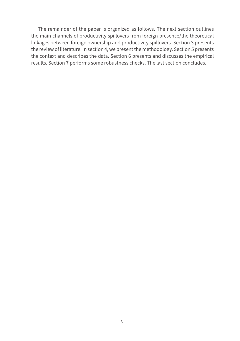The remainder of the paper is organized as follows. The next section outlines the main channels of productivity spillovers from foreign presence/the theoretical linkages between foreign ownership and productivity spillovers. Section 3 presents the review of literature. In section 4, we present the methodology. Section 5 presents the context and describes the data. Section 6 presents and discusses the empirical results. Section 7 performs some robustness checks. The last section concludes.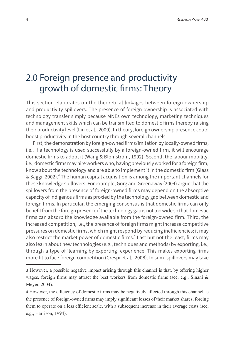## 2.0 Foreign presence and productivity growth of domestic firms: Theory

This section elaborates on the theoretical linkages between foreign ownership and productivity spillovers. The presence of foreign ownership is associated with technology transfer simply because MNEs own technology, marketing techniques and management skills which can be transmitted to domestic firms thereby raising their productivity level (Liu et al., 2000). In theory, foreign ownership presence could boost productivity in the host country through several channels.

First, the demonstration by foreign-owned firms/imitation by locally-owned firms, i.e., if a technology is used successfully by a foreign-owned firm, it will encourage domestic firms to adopt it (Wang & Blomström, 1992). Second, the labour mobility, i.e., domestic firms may hire workers who, having previously worked for a foreign firm, know about the technology and are able to implement it in the domestic firm (Glass & Saggi, 2002). $^3$  The human capital acquisition is among the important channels for these knowledge spillovers. For example, Görg and Greenaway (2004) argue that the spillovers from the presence of foreign-owned firms may depend on the absorptive capacity of indigenous firms as proxied by the technology gap between domestic and foreign firms. In particular, the emerging consensus is that domestic firms can only benefit from the foreign presence if the technology gap is not too wide so that domestic firms can absorb the knowledge available from the foreign-owned firm. Third, the increased competition, i.e., the presence of foreign firms might increase competitive pressures on domestic firms, which might respond by reducing inefficiencies; it may also restrict the market power of domestic firms.<sup>4</sup> Last but not the least, firms may also learn about new technologies (e.g., techniques and methods) by exporting, i.e., through a type of 'learning by exporting' experience. This makes exporting firms more fit to face foreign competition (Crespi et al., 2008). In sum, spillovers may take

<sup>3</sup> However, a possible negative impact arising through this channel is that, by offering higher wages, foreign firms may attract the best workers from domestic firms (see, e.g., Sinani  $\&$ Meyer, 2004).

<sup>4</sup> However, the efficiency of domestic firms may be negatively affected through this channel as the presence of foreign-owned firms may imply significant losses of their market shares, forcing them to operate on a less efficient scale, with a subsequent increase in their average costs (see, e.g., Harrison, 1994).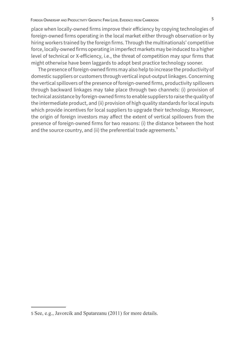place when locally-owned firms improve their efficiency by copying technologies of foreign-owned firms operating in the local market either through observation or by hiring workers trained by the foreign firms. Through the multinationals' competitive force, locally-owned firms operating in imperfect markets may be induced to a higher level of technical or X-efficiency, i.e., the threat of competition may spur firms that might otherwise have been laggards to adopt best practice technology sooner.

The presence of foreign-owned firms may also help to increase the productivity of domestic suppliers or customers through vertical input-output linkages. Concerning the vertical spillovers of the presence of foreign-owned firms, productivity spillovers through backward linkages may take place through two channels: (i) provision of technical assistance by foreign-owned firms to enable suppliers to raise the quality of the intermediate product, and (ii) provision of high quality standards for local inputs which provide incentives for local suppliers to upgrade their technology. Moreover, the origin of foreign investors may affect the extent of vertical spillovers from the presence of foreign-owned firms for two reasons: (i) the distance between the host and the source country, and (ii) the preferential trade agreements.<sup>5</sup>

<sup>5</sup> See, e.g., Javorcik and Spatareanu (2011) for more details.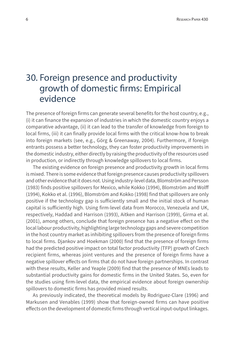## 30. Foreign presence and productivity growth of domestic firms: Empirical evidence

The presence of foreign firms can generate several benefits for the host country, e.g., (i) it can finance the expansion of industries in which the domestic country enjoys a comparative advantage, (ii) it can lead to the transfer of knowledge from foreign to local firms, (iii) it can finally provide local firms with the critical know-how to break into foreign markets (see, e.g., Görg & Greenaway, 2004). Furthermore, if foreign entrants possess a better technology, they can foster productivity improvements in the domestic industry, either directly by raising the productivity of the resources used in production, or indirectly through knowledge spillovers to local firms.

The existing evidence on foreign presence and productivity growth in local firms is mixed. There is some evidence that foreign presence causes productivity spillovers and other evidence that it does not. Using industry-level data, Blomström and Persson (1983) finds positive spillovers for Mexico, while Kokko (1994), Blomström and Wolff (1994), Kokko et al. (1996), Blomström and Kokko (1998) find that spillovers are only positive if the technology gap is sufficiently small and the initial stock of human capital is sufficiently high. Using firm-level data from Morocco, Venezuela and UK, respectively, Haddad and Harrison (1993), Aitken and Harrison (1999), Girma et al. (2001), among others, conclude that foreign presence has a negative effect on the local labour productivity, highlighting large technology gaps and severe competition in the host country market as inhibiting spillovers from the presence of foreign firms to local firms. Djankov and Hoekman (2000) find that the presence of foreign firms had the predicted positive impact on total factor productivity (TFP) growth of Czech recipient firms, whereas joint ventures and the presence of foreign firms have a negative spillover effects on firms that do not have foreign partnerships. In contrast with these results, Keller and Yeaple (2009) find that the presence of MNEs leads to substantial productivity gains for domestic firms in the United States. So, even for the studies using firm-level data, the empirical evidence about foreign ownership spillovers to domestic firms has provided mixed results.

As previously indicated, the theoretical models by Rodriguez-Clare (1996) and Markusen and Venables (1999) show that foreign-owned firms can have positive effects on the development of domestic firms through vertical input-output linkages.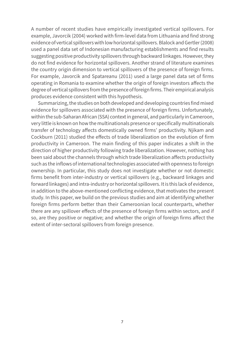A number of recent studies have empirically investigated vertical spillovers. For example, Javorcik (2004) worked with firm-level data from Lithuania and find strong evidence of vertical spillovers with low horizontal spillovers. Blalock and Gertler (2008) used a panel data set of Indonesian manufacturing establishments and find results suggesting positive productivity spillovers through backward linkages. However, they do not find evidence for horizontal spillovers. Another strand of literature examines the country origin dimension to vertical spillovers of the presence of foreign firms. For example, Javorcik and Spatareanu (2011) used a large panel data set of firms operating in Romania to examine whether the origin of foreign investors affects the degree of vertical spillovers from the presence of foreign firms. Their empirical analysis produces evidence consistent with this hypothesis.

Summarizing, the studies on both developed and developing countries find mixed evidence for spillovers associated with the presence of foreign firms. Unfortunately, within the sub-Saharan African (SSA) context in general, and particularly in Cameroon, very little is known on how the multinationals presence or specifically multinationals transfer of technology affects domestically owned firms' productivity. Njikam and Cockburn (2011) studied the effects of trade liberalization on the evolution of firm productivity in Cameroon. The main finding of this paper indicates a shift in the direction of higher productivity following trade liberalization. However, nothing has been said about the channels through which trade liberalization affects productivity such as the inflows of international technologies associated with openness to foreign ownership. In particular, this study does not investigate whether or not domestic firms benefit from inter-industry or vertical spillovers (e.g., backward linkages and forward linkages) and intra-industry or horizontal spillovers. It is this lack of evidence, in addition to the above-mentioned conflicting evidence, that motivates the present study. In this paper, we build on the previous studies and aim at identifying whether foreign firms perform better than their Cameroonian local counterparts, whether there are any spillover effects of the presence of foreign firms within sectors, and if so, are they positive or negative; and whether the origin of foreign firms affect the extent of inter-sectoral spillovers from foreign presence.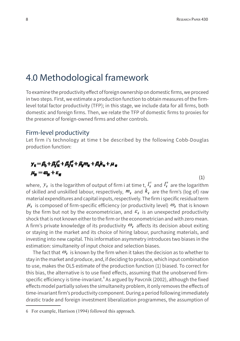## 4.0 Methodological framework

To examine the productivity effect of foreign ownership on domestic firms, we proceed in two steps. First, we estimate a production function to obtain measures of the firmlevel total factor productivity (TFP); in this stage, we include data for all firms, both domestic and foreign firms. Then, we relate the TFP of domestic firms to proxies for the presence of foreign-owned firms and other controls.

### Firm-level productivity

Let firm i's technology at time t be described by the following Cobb-Douglas production function:

### $y_r = \beta_1 + \beta_2 l_s + \beta_3 l_s^2 + \beta_2 m_s + \beta_3 k_s + \mu_s$  $\mu_{\rm tr} = \omega_{\rm tr} + \varepsilon_{\rm st}$

(1)

where,  ${\cal Y}_{\bm i}$  is the logarithm of output of firm i at time t,  $l_{\bm i}^s$  and  $l_{\bm i}^u$  are the logarithm of skilled and unskilled labour, respectively,  $m_i$  and  $k_i$  are the firm's (log of) raw material expenditures and capital inputs, respectively. The firm i specific residual term  $\mu_i$  is composed of firm-specific efficiency (or productivity level)  $\omega_i$  that is known by the firm but not by the econometrician, and  $\varepsilon_i$  is an unexpected productivity shock that is not known either to the firm or the econometrician and with zero mean. A firm's private knowledge of its productivity  $\omega_i$  affects its decision about exiting or staying in the market and its choice of hiring labour, purchasing materials, and investing into new capital. This information asymmetry introduces two biases in the estimation: simultaneity of input choice and selection biases.

The fact that  $\mathcal{Q}_i$  is known by the firm when it takes the decision as to whether to stay in the market and produce, and, if deciding to produce, which input combination to use, makes the OLS estimate of the production function (1) biased. To correct for this bias, the alternative is to use fixed effects, assuming that the unobserved firmspecific efficiency is time-invariant. $^{\circ}$  As argued by Pavcnik (2002), although the fixed effects model partially solves the simultaneity problem, it only removes the effects of time-invariant firm's productivity component. During a period following immediately drastic trade and foreign investment liberalization programmes, the assumption of

<sup>6</sup> For example, Harrison (1994) followed this approach.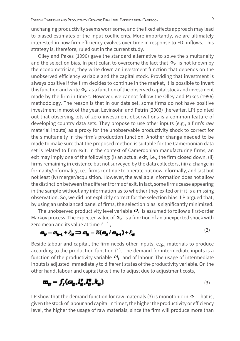unchanging productivity seems worrisome, and the fixed effects approach may lead to biased estimates of the input coefficients. More importantly, we are ultimately interested in how firm efficiency evolves over time in response to FDI inflows. This strategy is, therefore, ruled out in the current study.

Olley and Pakes (1996) gave the standard alternative to solve the simultaneity and the selection bias. In particular, to overcome the fact that  $\omega_i$  is not known by the econometrician, they write down an investment function that depends on the unobserved efficiency variable and the capital stock. Providing that investment is always positive if the firm decides to continue in the market, it is possible to invert this function and write  $\omega_i$  as a function of the observed capital stock and investment made by the firm in time t. However, we cannot follow the Olley and Pakes (1996) methodology. The reason is that in our data set, some firms do not have positive investment in most of the year. Levinsohn and Petrin (2003) (hereafter, LP) pointed out that observing lots of zero-investment observations is a common feature of developing country data sets. They propose to use other inputs (e.g., a firm's raw material inputs) as a proxy for the unobservable productivity shock to correct for the simultaneity in the firm's production function. Another change needed to be made to make sure that the proposed method is suitable for the Cameroonian data set is related to firm exit. In the context of Cameroonian manufacturing firms, an exit may imply one of the following: (i) an actual exit, i.e., the firm closed down, (ii) firms remaining in existence but not surveyed by the data collectors, (iii) a change in formality/informality, i.e., firms continue to operate but now informally, and last but not least (iv) merger/acquisition. However, the available information does not allow the distinction between the different forms of exit. In fact, some firms cease appearing in the sample without any information as to whether they exited or if it is a missing observation. So, we did not explicitly correct for the selection bias. LP argued that, by using an unbalanced panel of firms, the selection bias is significantly minimized.

The unobserved productivity level variable  $\omega_i$  is assumed to follow a first-order Markov process. The expected value of  $\omega_i$  is a function of an unexpected shock with zero mean and its value at time *t* −1 ,

$$
\mathbf{\omega}_{\mathbf{M}} = \mathbf{\omega}_{\mathbf{M} - 1} + \xi_{\mathbf{M}} \implies \mathbf{\omega}_{\mathbf{M}} = E(\mathbf{\omega}_{\mathbf{M}} / \mathbf{\omega}_{\mathbf{M} - 1}) + \xi_{\mathbf{M}}
$$
\n(2)

Beside labour and capital, the firm needs other inputs, e.g., materials to produce according to the production function (1). The demand for intermediate inputs is a function of the productivity variable  $\omega_i$  and of labour. The usage of intermediate inputs is adjusted immediately to different states of the productivity variable. On the other hand, labour and capital take time to adjust due to adjustment costs,

$$
\mathbf{m}_{\mathbf{H}} = \int_{\mathbf{f}} (\boldsymbol{\omega}_{\mathbf{g}}, \mathbf{l}_{\mathbf{H}}^{\mathbf{f}}, \mathbf{l}_{\mathbf{H}}^{\mathbf{g}}, \mathbf{k}_{\mathbf{H}})
$$
 (3)

LP show that the demand function for raw materials (3) is monotonic in  $\omega$ . That is, given the stock of labour and capital in time t, the higher the productivity or efficiency level, the higher the usage of raw materials, since the firm will produce more than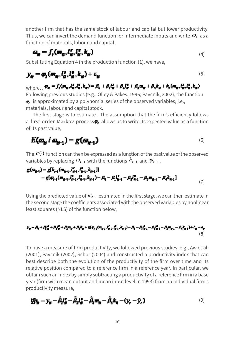another firm that has the same stock of labour and capital but lower productivity. Thus, we can invert the demand function for intermediate inputs and write  $\omega_i$  as a function of materials, labour and capital,

$$
\mathbf{a}_{\mathbf{r}} = f_{\mathbf{r}}(\mathbf{m}_a, l_a^*, l_a^*, \mathbf{k}_a) \tag{4}
$$

Substituting Equation 4 in the production function (1), we have,

$$
y_{\rm g}=\phi_{\rm g}(m_{\rm g},l_{\rm g}^{\rm s},l_{\rm g}^{\rm s},k_{\rm g})+\varepsilon_{\rm g}
$$

## $\text{where. }\phi_{\text{H}}=f_{t}(\textbf{m}_{g},l_{\text{H}}^{s},l_{\text{H}}^{s},k_{\text{H}})=\beta_{0}+\beta_{1}l_{\text{H}}^{s}+\beta_{2}l_{\text{H}}^{s}+\beta_{3}\textbf{m}_{\text{H}}+\beta_{4}k_{\text{H}}+h_{t}(\textbf{m}_{\text{H}},l_{\text{H}}^{s},l_{\text{H}}^{s},k_{\text{H}})$

(5)

Following previous studies (e.g., Olley & Pakes, 1996; Pavcnik, 2002), the function  $\bullet$  is approximated by a polynomial series of the observed variables, i.e., materials, labour and capital stock.

The first stage is to estimate . The assumption that the firm's efficiency follows a first-order Markov process $\blacktriangleright$  allows us to write its expected value as a function of its past value,

$$
E(\omega_{\mu} / \omega_{\mu-1}) = g(\omega_{\mu-1})
$$
\n(6)

The  $g(\cdot)$  function can then be expressed as a function of the past value of the observed variables by replacing  $\omega_{i-1}$  with the functions  $h_{i-1}$  and  $\varphi_{i-1}$ ,

$$
g(\mathcal{B}_{g+1}) = g[h_{f+1}(\mathbf{m}_{g+1}, l'_{g+1}, l'_{g+1}, k_{g+1})]
$$
  
=  $g[\mathcal{B}_{f+1}(\mathbf{m}_{g+1}, l'_{g+1}, l'_{g+1}, k_{g+1}) - \mathcal{B}_0 - \mathcal{B}_1 l'_{g+1} - \mathcal{B}_2 l'_{g+1} - \mathcal{B}_3 \mathbf{m}_{g+1} - \mathcal{B}_4 k_{g+1}]$  (7)

Using the predicted value of  $\varphi_{i-1}$  estimated in the first stage, we can then estimate in the second stage the coefficients associated with the observed variables by nonlinear least squares (NLS) of the function below,

$$
y_{g} = \beta_{3} + \beta_{4}t_{g}^{2} + \beta_{3}t_{g}^{2} + \beta_{2}m_{g} + \beta_{4}k_{g} + g(\phi_{34}(\mathbf{m}_{g+1}, t_{g+1}^{2}, t_{g+2}^{2}, \mathbf{k}_{g+1}) - \beta_{3} - \beta_{3}t_{g+1}^{2} - \beta_{2}t_{g+1}^{2} - \beta_{4}k_{g+1} + \xi_{g} + \xi_{g}
$$
\n
$$
(8)
$$

To have a measure of firm productivity, we followed previous studies, e.g., Aw et al. (2001), Pavcnik (2002), Schor (2004) and constructed a productivity index that can best describe both the evolution of the productivity of the firm over time and its relative position compared to a reference firm in a reference year. In particular, we obtain such an index by simply subtracting a productivity of a reference firm in a base year (firm with mean output and mean input level in 1993) from an individual firm's productivity measure,

$$
\mathbf{i} f \mathbf{p}_\mathbf{r} = \mathbf{y}_\mathbf{r} - \hat{\mathbf{p}}_\mathbf{r} \mathbf{i}^\mathbf{r} - \hat{\mathbf{p}}_\mathbf{r} \mathbf{i}^\mathbf{r} - \hat{\mathbf{p}}_\mathbf{r} \mathbf{m}_\mathbf{r} - \hat{\mathbf{p}}_\mathbf{r} \mathbf{k}_\mathbf{r} - (\mathbf{y}_\mathbf{r} - \hat{\mathbf{y}}_\mathbf{r}) \tag{9}
$$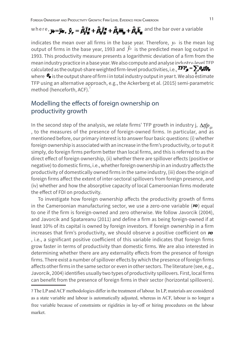## where,  $y_r = \bar{y}_r$ ,  $\bar{y}_r = \hat{A}_r \bar{I}_r^p + \hat{A}_s \bar{I}_r^r + \hat{A}_s \bar{I}_r^r + \hat{A}_s \bar{k}_r$  and the bar over a variable

indicates the mean over all firms in the base year. Therefore,  $y_r$  is the mean log output of firms in the base year, 1993 and  $\hat{y}_r$  is the predicted mean log output in 1993. This productivity measure presents a logarithmic deviation of a firm from the mean industry practice in a base year. We also compute and analyse industry-level TFP calculated as the output-share weighted firm-level productivities, i.e.,  $\text{H7}_s = \sum \theta_s \text{H}_s$ where  $\mathbf{F}_{\mathbf{r}}$  is the output share of firm i in total industry output in year t. We also estimate TFP using an alternative approach, e.g., the Ackerberg et al. (2015) semi-parametric method (henceforth, ACF).<sup>7</sup>

### Modelling the effects of foreign ownership on productivity growth

In the second step of the analysis, we relate firms' TFP growth in industry j, Δ*tfp*<sub>*iit*</sub> , to the measures of the presence of foreign-owned firms. In particular, and as mentioned before, our primary interest is to answer four basic questions: (i) whether foreign ownership is associated with an increase in the firm's productivity, or to put it simply, do foreign firms perform better than local firms, and this is referred to as the direct effect of foreign ownership, (ii) whether there are spillover effects (positive or negative) to domestic firms, i.e., whether foreign ownership in an industry affects the productivity of domestically owned firms in the same industry, (iii) does the origin of foreign firms affect the extent of inter-sectoral spillovers from foreign presence, and (iv) whether and how the absorptive capacity of local Cameroonian firms moderate the effect of FDI on productivity.

To investigate how foreign ownership affects the productivity growth of firms in the Cameroonian manufacturing sector, we use a zero-one variable  $(FO)$  equal to one if the firm is foreign-owned and zero otherwise. We follow Javorcik (2004), and Javorcik and Spatareanu (2011) and define a firm as being foreign-owned if at least 10% of its capital is owned by foreign investors. If foreign ownership in a firm increases that firm's productivity, we should observe a positive coefficient on  $\boldsymbol{\varepsilon}$ , i.e., a significant positive coefficient of this variable indicates that foreign firms grow faster in terms of productivity than domestic firms. We are also interested in determining whether there are any externality effects from the presence of foreign firms. There exist a number of spillover effects by which the presence of foreign firms affects other firms in the same sector or even in other sectors. The literature (see, e.g., Javorcik, 2004) identifies usually two types of productivity spillovers. First, local firms can benefit from the presence of foreign firms in their sector (horizontal spillovers).

<sup>7</sup> The LP and ACF methodologies differ in the treatment of labour. In LP, materials are considered as a state variable and labour is automatically adjusted, whereas in ACF, labour is no longer a free variable because of constraints or rigidities in lay-off or hiring procedures on the labour market.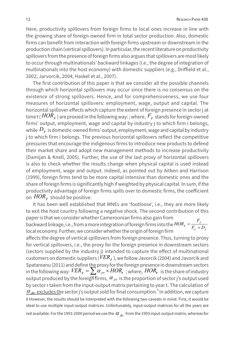Here, productivity spillovers from foreign firms to local ones increase in line with the growing share of foreign-owned firm in total sector production. Also, domestic firms can benefit from interaction with foreign firms upstream or downstream in the production chain (vertical spillovers). In particular, the recent literature on productivity spillovers from the presence of foreign firms also argues that spillovers are most likely to occur through multinationals' backward linkages (i.e., the degree of integration of multinationals into the host economy) with domestic suppliers (e.g., Driffield et al., 2002; Jarvorcik, 2004; Haskel et al., 2007).

The first contribution of this paper is that we consider all the possible channels through which horizontal spillovers may occur since there is no consensus on the existence of strong spillovers. Hence, and for comprehensiveness, we use four measures of horizontal spillovers: employment, wage, output and capital. The horizontal spillover effects which capture the extent of foreign presence in sector j at time t ( $HOR<sub>i</sub>$ ) are proxied in the following way: ; where,  $F<sub>i</sub>$  stands for foreign-owned firms' output, employment, wage and capital by industry j to which firm i belongs, while  $D_i$  is domestic-owned firms' output, employment, wage and capital by industry j to which firm i belongs. The previous horizontal spillovers reflect the competitive pressures that encourage the indigenous firms to introduce new products to defend their market share and adopt new management methods to increase productivity (Damijan & Knell, 2005). Further, the use of the last proxy of horizontal spillovers is also to check whether the results change when physical capital is used instead of employment, wage and output. Indeed, as pointed out by Aitken and Harrison (1999), foreign firms tend to be more capital intensive than domestic ones and the share of foreign firms is significantly high if weighted by physical capital. In sum, if the productivity advantage of foreign firms spills over to domestic firms, the coefficient on  $HOR<sub>i</sub>$  should be positive.

It has been well established that MNEs are 'footloose', i.e., they are more likely to exit the host country following a negative shock. The second contribution of this paper is that we consider whether Cameroonian firms also gain from backward linkage, i.e., from a more integration of foreign firms into the  $HOR_j = \frac{1}{F_j + D_j}$ local economy. Further, we consider whether the origin of foreign firm affects the degree of vertical spillovers from foreign presence. Thus, turning to proxy for vertical spillovers, i.e., the proxy for the foreign presence in downstream sectors (sectors supplied by the industry j) intended to capture the effect of multinational customers on domestic suppliers ( $VER<sub>i</sub>$ ), we follow Javorcik (2004) and Javorcik and Spatareanu (2011) and define the proxy for the foreign presence in downstream sectors in the following way:  $VER_{j} = \sum_{j}^{t} \alpha_{jrt} \times HOR_{t}$ ; where,  $HOR_{t}$  is the share of industry  $\sigma$ output produced by the foreign firms,  $\alpha_{\scriptscriptstyle jrt}$  is the proportion of sector j's output used by sector r taken from the input-output matrix pertaining to year t. The calculation of  $\alpha_{_{jkt}}$  excludes the sector j's output sold for final consumption. $^{\text{s}}$  In addition, we capture 8 However, the results should be interpreted with the following two caveats in mind. First, it would be ideal to use multiple input-output matrices. Unfortunately, input-output matrices for all the years are not available. For the 1993-2000 period we use the  $\alpha_{ikt}$  from the 1993 input-output matrix, whereas for  $j_t = \frac{I_f}{F_t + D}$  $HOR_{\hat{\mu}} = \frac{F_{\hat{\mu}}}{F_{\hat{\mu}} + F_{\hat{\mu}}}$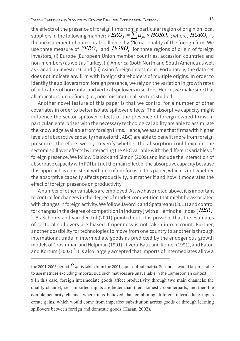the effects of the presence of foreign firms from a particular region of origin on local suppliers in the following manner:  $VERO_i = \sum_{j\in I} \alpha_{j\in I} \times HORO_i$ ; where,  $HORO_i$  is the measurement of borizontal spillovers by find pationality of the foreign firm. We the measurement of horizontal spillovers by the nationality of the foreign firm. We use three measure of  $VERO<sub>j</sub>$  and  $HORO<sub>j</sub>$  for three regions of origin of foreign investors, (i) Europe (European Union member countries, accession countries and non-members) as well as Turkey, (ii) America (both North and South America as well as Canadian investors), and (iii) Asian foreign investment. Fortunately, the data set does not indicate any firm with foreign shareholders of multiple origins. In order to identify the spillovers from foreign presence, we rely on the variation in growth rates of indicators of horizontal and vertical spillovers in sectors. Hence, we make sure that all indicators are defined (i.e., non-missing) in all sectors studied.

Another novel feature of this paper is that we control for a number of other covariates in order to better isolate spillover effects. The absorptive capacity might influence the sector spillover effects of the presence of foreign-owned firms. In particular, enterprises with the necessary technological ability are able to assimilate the knowledge available from foreign firms. Hence, we assume that firms with higher levels of absorptive capacity (henceforth, ABC) are able to benefit more from foreign presence. Therefore, we try to verify whether the absorption could explain the sectoral spillover effects by interacting the ABC variable with the different variables of foreign presence. We follow Blalock and Simon (2009) and include the interaction of absorptive capacity with FDI but not the main effect of the absorptive capacity because this approach is consistent with one of our focus in this paper, which is not whether the absorptive capacity affects productivity, but rather if and how it moderates the effect of foreign presence on productivity.

A number of other variables are employed. As, we have noted above, it is important to control for changes in the degree of market competition that might be associated with changes in foreign activity. We follow Javorcik and Spatareanu (2011) and control for changes in the degree of competition in industry j with a Herfindhal index ( $HER_i$ ). As Schoors and van der Tol (2001) pointed out, it is possible that the estimates of sectoral spillovers are biased if openness is not taken into account. Further, another possibility for technologies to move from one country to another is through international trade in intermediate goods as predicted by the endogenous growth models of Grosmman and Helpman (1991), Rivera-Batiz and Romer (1991), and Eaton and Kortum (2002).<sup>9</sup> It is also largely accepted that imports of intermediates allow a

the 2001-2005 period  $\alpha_{_{jkt}}$  is taken from the 2001 input-output matrix. Second, it would be preferable to use matrices excluding imports. But, such matrices are unavailable in the Cameroonian context.

9 In this case, foreign intermediate goods affect productivity through two main channels: the quality channel, i.e., imported inputs are better than their domestic counterparts, and then the complementarity channel where it is believed that combining different intermediate inputs create gains, which would come from imperfect substitution across goods or through learning spillovers between foreign and domestic goods (Hasan, 2002).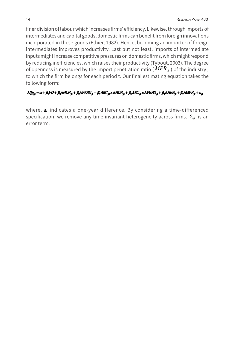finer division of labour which increases firms' efficiency. Likewise, through imports of intermediates and capital goods, domestic firms can benefit from foreign innovations incorporated in these goods (Ethier, 1982). Hence, becoming an importer of foreign intermediates improves productivity. Last but not least, imports of intermediate inputs might increase competitive pressures on domestic firms, which might respond by reducing inefficiencies, which raises their productivity (Tybout, 2003). The degree of openness is measured by the import penetration ratio ( $MPR<sub>i</sub>$ ) of the industry j to which the firm belongs for each period t. Our final estimating equation takes the following form:

### $\Delta t f p_w = \alpha + \beta_t FO + \beta_2 \Delta H CR_w + \beta_3 \Delta F ERO_g + \beta_4 \Delta RC_w \times \Delta HCR_w + \beta_3 \Delta FERO_g + \beta_6 \Delta HER_w + \beta_7 \Delta MPR_g + \varepsilon_w$

where,  $\Delta$  indicates a one-year difference. By considering a time-differenced specification, we remove any time-invariant heterogeneity across firms.  $\varepsilon_{ijt}$  is an error term.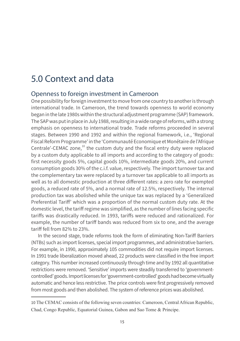## 5.0 Context and data

### Openness to foreign investment in Cameroon

One possibility for foreign investment to move from one country to another is through international trade. In Cameroon, the trend towards openness to world economy began in the late 1980s within the structural adjustment programme (SAP) framework. The SAP was put in place in July 1988, resulting in a wide range of reforms, with a strong emphasis on openness to international trade. Trade reforms proceeded in several stages. Between 1990 and 1992 and within the regional framework, i.e., 'Regional Fiscal Reform Programme' in the 'Communauté Economique et Monétaire de l'Afrique Centrale'-CEMAC zone, $^{10}$  the custom duty and the fiscal entry duty were replaced by a custom duty applicable to all imports and according to the category of goods: first necessity goods 5%, capital goods 10%, intermediate goods 20%, and current consumption goods 30% of the c.i.f. value, respectively. The import turnover tax and the complementary tax were replaced by a turnover tax applicable to all imports as well as to all domestic production at three different rates: a zero rate for exempted goods, a reduced rate of 5%, and a normal rate of 12.5%, respectively. The internal production tax was abolished while the unique tax was replaced by a 'Generalized Preferential Tariff' which was a proportion of the normal custom duty rate. At the domestic level, the tariff regime was simplified, as the number of lines facing specific tariffs was drastically reduced. In 1993, tariffs were reduced and rationalized. For example, the number of tariff bands was reduced from six to one, and the average tariff fell from 82% to 23%.

In the second stage, trade reforms took the form of eliminating Non-Tariff Barriers (NTBs) such as import licenses, special import programmes, and administrative barriers. For example, in 1990, approximately 105 commodities did not require import licenses. In 1991 trade liberalization moved ahead, 22 products were classified in the free import category. This number increased continuously through time and by 1992 all quantitative restrictions were removed. 'Sensitive' imports were steadily transferred to 'governmentcontrolled' goods. Import licenses for 'government-controlled' goods had become virtually automatic and hence less restrictive. The price controls were first progressively removed from most goods and then abolished. The system of reference prices was abolished.

<sup>10</sup> The CEMAC consists of the following seven countries: Cameroon, Central African Republic, Chad, Congo Republic, Equatorial Guinea, Gabon and Sao Tome & Principe.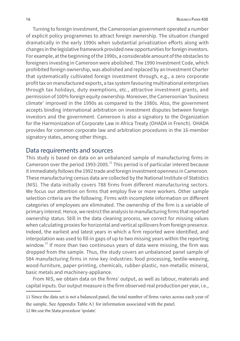Turning to foreign investment, the Cameroonian government operated a number of explicit policy programmes to attract foreign ownership. The situation changed dramatically in the early 1990s when substantial privatization efforts along with changes in the legislative framework provided new opportunities for foreign investors. For example, at the beginning of the 1990s, a considerable amount of the obstacles to foreigners investing in Cameroon were abolished. The 1990 Investment Code, which prohibited foreign ownership, was abolished and replaced by an Investment Charter that systematically cultivated foreign investment through, e.g., a zero corporate profit tax on manufactured exports, a tax system favouring multinational enterprises through tax holidays, duty exemptions, etc., attractive investment grants, and permission of 100% foreign equity ownership. Moreover, the Cameroonian 'business climate' improved in the 1990s as compared to the 1980s. Also, the government accepts binding international arbitration on investment disputes between foreign investors and the government. Cameroon is also a signatory to the Organization for the Harmonization of Corporate Law in Africa Treaty (OHADA in French). OHADA provides for common corporate law and arbitration procedures in the 16-member signatory states, among other things.

### Data requirements and sources

This study is based on data on an unbalanced sample of manufacturing firms in Cameroon over the period 1993-2005.<sup>11</sup> This period is of particular interest because it immediately follows the 1992 trade and foreign investment openness in Cameroon. These manufacturing census data are collected by the National Institute of Statistics (NIS). The data initially covers 788 firms from different manufacturing sectors. We focus our attention on firms that employ five or more workers. Other sample selection criteria are the following. Firms with incomplete information on different categories of employees are eliminated. The ownership of the firm is a variable of primary interest. Hence, we restrict the analysis to manufacturing firms that reported ownership status. Still in the data cleaning process, we correct for missing values when calculating proxies for horizontal and vertical spillovers from foreign presence. Indeed, the earliest and latest years in which a firm reported were identified, and interpolation was used to fill-in gaps of up to two missing years within the reporting window.<sup>12</sup> If more than two continuous years of data were missing, the firm was dropped from the sample. Thus, the study covers an unbalanced panel sample of 584 manufacturing firms in nine key industries: food processing, textile-weaving, wood-furniture, paper-printing, chemicals, rubber-plastic, non-metallic mineral, basic metals and machinery-appliance.

From NIS, we obtain data on the firms' output, as well as labour, materials and capital inputs. Our output measure is the firm observed real production per year, i.e.,

12 We use the Stata procedure 'ipolate'.

<sup>11</sup> Since the data set is not a balanced panel, the total number of firms varies across each year of the sample. See Appendix Table A1 for information associated with the panel.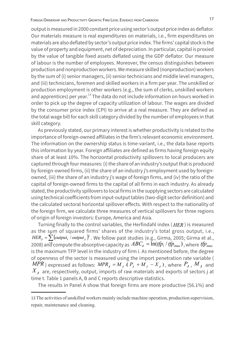output is measured in 2000 constant price using sector's output price index as deflator. Our materials measure is real expenditures on materials, i.e., firm expenditures on materials are also deflated by sector's output price index. The firms' capital stock is the value of property and equipment, net of depreciation. In particular, capital is proxied by the value of tangible fixed assets deflated using the GDP deflator. Our measure of labour is the number of employees. Moreover, the census distinguishes between production and nonproduction workers. We measure skilled (nonproduction) workers by the sum of (i) senior managers, (ii) senior technicians and middle level managers, and (iii) technicians, foremen and skilled workers in a firm per year. The unskilled or production employment is other workers (e.g., the sum of clerks, unskilled workers and apprentices) per year.<sup>13</sup> The data do not include information on hours worked in order to pick up the degree of capacity utilization of labour. The wages are divided by the consumer price index (CPI) to arrive at a real measure. They are defined as the total wage bill for each skill category divided by the number of employees in that skill category.

As previously stated, our primary interest is whether productivity is related to the importance of foreign-owned affiliates in the firm's relevant economic environment. The information on the ownership status is time-variant, i.e., the data base reports this information by year. Foreign affiliates are defined as firms having foreign equity share of at least 10%. The horizontal productivity spillovers to local producers are captured through four measures: (i) the share of an industry's output that is produced by foreign-owned firms, (ii) the share of an industry j's employment used by foreignowned, (iii) the share of an industry j's wage of foreign firms, and (iv) the ratio of the capital of foreign-owned firms to the capital of all firms in each industry. As already stated, the productivity spillovers to local firms in the supplying sectors are calculated using technical coefficients from input-output tables (two-digit sector definition) and the calculated sectoral horizontal spillover effects. With respect to the nationality of the foreign firm, we calculate three measures of vertical spillovers for three regions of origin of foreign investors: Europe, America and Asia.

Turning finally to the control variables, the Herfindahl index ( *HER* ) is measured as the sum of squared firms' shares of the industry's total gross output, i.e.,  $E_{j} = \sum_{i=1}^{n} (output_{i}/output_{j})^{2}$ . We follow past studies (e.g., Girma, 2005; Girma et al.,  $E_{j} = \sum_{i=1}^{n} (output_{i}/t_{i})^{2}$ 2008) and compute the absorptive capacity as  $\it{ABC}_i = \bar{\ln}(t\!f\!p_i / t\!f\!p_{\rm max})$  , where  $t\!f\!p_{\rm max}$ is the maximum TFP level in the industry of firm i. As mentioned before, the degree of openness of the sector is measured using the import penetration rate variable (  $MPR$ ) expressed as follows:  $MPR_i = M_i$  ( $P_i + M_j - X_j$ ), where  $P_j$ ,  $M_j$  and  $X_{i}$  are, respectively, output, imports of raw materials and exports of sectors j at time t. Table 1 panels A, B and C reports descriptive statistics.

The results in Panel A show that foreign firms are more productive (56.1%) and

<sup>13</sup> The activities of unskilled workers mainly include machine operation, production supervision, repair, maintenance and cleaning.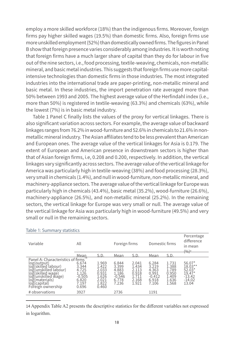employ a more skilled workforce (18%) than the indigenous firms. Moreover, foreign firms pay higher skilled wages (19.5%) than domestic firms. Also, foreign firms use more unskilled employment (52%) than domestically owned firms. The figures in Panel B show that foreign presence varies considerably among industries. It is worth noting that foreign firms have a much larger share of capital than they do for labour in five out of the nine sectors, i.e., food processing, textile-weaving, chemicals, non-metallic mineral, and basic metal industries. This suggests that foreign firms use more capitalintensive technologies than domestic firms in those industries. The most integrated industries into the international trade are paper-printing, non-metallic mineral and basic metal. In these industries, the import penetration rate averaged more than 50% between 1993 and 2005. The highest average value of the Herfindahl index (i.e., more than 50%) is registered in textile-weaving (63.3%) and chemicals (63%), while the lowest (7%) is in basic metal industry.

Table 1 Panel C finally lists the values of the proxy for vertical linkages. There is also significant variation across sectors. For example, the average value of backward linkages ranges from 76.2% in wood-furniture and 52.6% in chemicals to 21.6% in nonmetallic mineral industry. The Asian affiliates tend to be less prevalent than American and European ones. The average value of the vertical linkages for Asia is 0.179. The extent of European and American presence in downstream sectors is higher than that of Asian foreign firms, i.e, 0.208 and 0.200, respectively. In addition, the vertical linkages vary significantly across sectors. The average value of the vertical linkage for America was particularly high in textile-weaving (38%) and food processing (28.3%), very small in chemicals (1.4%), and null in wood-furniture, non-metallic mineral, and machinery-appliance sectors. The average value of the vertical linkage for Europe was particularly high in chemicals (43.4%), basic metal (35.2%), wood-furniture (26.6%), machinery-appliance (26.5%), and non-metallic mineral (25.2%). In the remaining sectors, the vertical linkage for Europe was very small or null. The average value of the vertical linkage for Asia was particularly high in wood-furniture (49.5%) and very small or null in the remaining sectors.

| Variable                                                                                                                                                                                                                                                      | All                                                                           |                                                                      | Foreign firms                                                  |                                                             | Domestic firms                                                 |                                                             | Percentage<br>difference<br>in mean<br>$(9/6)^a$                       |
|---------------------------------------------------------------------------------------------------------------------------------------------------------------------------------------------------------------------------------------------------------------|-------------------------------------------------------------------------------|----------------------------------------------------------------------|----------------------------------------------------------------|-------------------------------------------------------------|----------------------------------------------------------------|-------------------------------------------------------------|------------------------------------------------------------------------|
|                                                                                                                                                                                                                                                               | Mean                                                                          | S D                                                                  | Mean                                                           | S.D                                                         | Mean                                                           | S.D.                                                        |                                                                        |
| Panel A: Characteristics of firms<br>log(output)<br>log(skilled l<br>(skilled labour)<br>loğ(unskilled labour)<br>loğ(skilled labour)<br>loğ(skilled wage)<br>log(skilled wage)<br>log(unskilled wage)<br>loğ(materials)<br>loğ(capital)<br>Foreign ownership | 14<br>6.674<br>3.344<br>4.725<br>1.126<br>$-0.505$<br>6.820<br>7.197<br>0.696 | 1.969<br>1.422<br>2.033<br>0.931<br>1.626<br>2.021<br>1.822<br>0.460 | 6.844<br>3.399<br>4.883<br>1.186<br>$-0.546$<br>6.778<br>7.236 | 2.041<br>1.434<br>2.113<br>0.918<br>1.711<br>2.168<br>1.921 | 6.284<br>3.219<br>4.363<br>0.991<br>$-0.412$<br>6.918<br>7.106 | 1.731<br>1.388<br>1.789<br>0.950<br>1.409<br>1.636<br>1.568 | 56.07*<br>18.03**<br>52.03*<br>19.47*<br>$-13.42$<br>$-14.02$<br>13.04 |
| # observations                                                                                                                                                                                                                                                | 3927                                                                          |                                                                      | 2736                                                           |                                                             | 1191                                                           |                                                             |                                                                        |

#### Table 1: Summary statistics

14 Appendix Table A2 presents the descriptive statistics for the different variables not expressed in logarithm.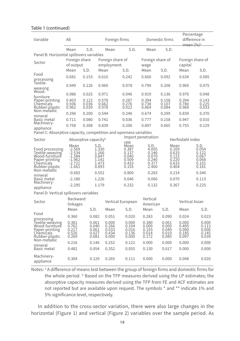| Variable                                                                                                         | All                                                                          |                                  |                                                            | Foreign firms                             |                                                            |                                                            | Domestic firms                                             | Percentage<br>difference in<br>mean (%) <sup>a</sup> |                                                            |
|------------------------------------------------------------------------------------------------------------------|------------------------------------------------------------------------------|----------------------------------|------------------------------------------------------------|-------------------------------------------|------------------------------------------------------------|------------------------------------------------------------|------------------------------------------------------------|------------------------------------------------------|------------------------------------------------------------|
|                                                                                                                  | Mean                                                                         | S.D.                             |                                                            | Mean                                      | S.D.                                                       | Mean                                                       | S.D.                                                       |                                                      |                                                            |
| Panel B: Horizontal spillovers variables                                                                         |                                                                              |                                  |                                                            |                                           |                                                            |                                                            |                                                            |                                                      |                                                            |
| Sector                                                                                                           | Foreign share                                                                |                                  |                                                            | Foreign share of                          |                                                            | Foreign share of                                           |                                                            | Foreign share of                                     |                                                            |
|                                                                                                                  | of output                                                                    |                                  |                                                            | employment                                |                                                            | wage                                                       |                                                            | capital                                              |                                                            |
| Food                                                                                                             | Mean                                                                         | S.D.                             |                                                            | Mean                                      | S.D.                                                       | Mean                                                       | S.D.                                                       | Mean                                                 | S.D.                                                       |
| processing<br>Textile-                                                                                           | 0.681                                                                        | 0.153                            | 0.610                                                      |                                           | 0.242                                                      | 0.660                                                      | 0.092                                                      | 0.634                                                | 0.085                                                      |
| weaving<br>Wood-                                                                                                 | 0.949                                                                        | 0.126                            | 0.960                                                      |                                           | 0.078                                                      | 0.799                                                      | 0.208                                                      | 0.969                                                | 0.075                                                      |
| furniture                                                                                                        | 0.986                                                                        | 0.025                            | 0.971                                                      |                                           | 0.046                                                      | 0.919                                                      | 0.136                                                      | 0.970                                                | 0.048                                                      |
| Paper-printing<br>Chemicals<br>Rubber-plastic<br>Non-metallic                                                    | 0.403<br>0.936<br>0.962                                                      | 0.122<br>0.036<br>0.039          | 0.578<br>0.662<br>0.978                                    |                                           | 0.287<br>0.276<br>0.022                                    | 0.394<br>0.738<br>0.864                                    | 0.158<br>0.107<br>0.084                                    | 0.394<br>0.780<br>0.968                              | 0.143<br>0.225<br>0.033                                    |
| mineral                                                                                                          | 0.296                                                                        | 0.200                            | 0.544                                                      |                                           | 0.240                                                      | 0.674                                                      | 0.299                                                      | 0.839                                                | 0.370                                                      |
| Basic metal                                                                                                      | 0.711                                                                        | 0.080                            | 0.741                                                      |                                           | 0.036                                                      | 0.777                                                      | 0.158                                                      | 0.947                                                | 0.010                                                      |
| Machinery-<br>appliance                                                                                          | 0.758                                                                        | 0.308                            | 0.839                                                      |                                           | 0.206                                                      | 0.897                                                      | 0.065                                                      | 0.755                                                | 0.129                                                      |
| Panel C: Absorptive capacity, competition and openness variables                                                 |                                                                              |                                  |                                                            |                                           |                                                            | Import penetration                                         |                                                            |                                                      |                                                            |
| Sector                                                                                                           |                                                                              | Absorptive capacity <sup>b</sup> |                                                            |                                           | rate                                                       |                                                            |                                                            | Herfindahl index                                     |                                                            |
| Food processing<br>Textilė-weaving<br>Wood-furniturĕ<br>Paper-printing<br>Chemicals<br>Rubber-plastic            | Mean<br>$-2.569$<br>$-2.534$<br>$-1.584$<br>$-1.962$<br>$-2.721$<br>$-1.661$ |                                  | S.D.<br>1.330<br>1.266<br>0.847<br>1.142<br>1.473<br>0.893 |                                           | Mean<br>0.387<br>0.137<br>0.040<br>0.509<br>0.433<br>0.155 | S.D.<br>4.005<br>0.146<br>0.079<br>0.240<br>0.377<br>2.400 | Mean<br>0.169<br>0.633<br>0.123<br>0.220<br>0.633<br>0.404 |                                                      | S.D.<br>0.054<br>0.122<br>0.067<br>0.068<br>0.101<br>0.181 |
| Non-metallic                                                                                                     | $-0.683$                                                                     |                                  | 0.552                                                      |                                           | 0.800                                                      | 0.283                                                      | 0.214                                                      |                                                      | 0.346                                                      |
| mineral<br>Basic metal                                                                                           | $-2.180$                                                                     |                                  | 1.226                                                      |                                           | 0.646                                                      | 0.066                                                      | 0.070                                                      |                                                      | 0.113                                                      |
| Machinery-                                                                                                       | $-2.295$                                                                     |                                  | 1.179                                                      |                                           | 0.232                                                      | 0.132                                                      | 0.367                                                      |                                                      | 0.225                                                      |
| appliance                                                                                                        |                                                                              |                                  |                                                            |                                           |                                                            |                                                            |                                                            |                                                      |                                                            |
| Panel D: Vertical spillovers variables                                                                           |                                                                              |                                  |                                                            |                                           |                                                            |                                                            |                                                            |                                                      |                                                            |
| Sector                                                                                                           | <b>Backward</b><br>linkages                                                  |                                  |                                                            |                                           | Vertical European                                          | Vertical<br>American                                       |                                                            | Vertical Asian                                       |                                                            |
|                                                                                                                  | Mean                                                                         | S.D.                             |                                                            | Mean                                      | S.D.                                                       | Mean                                                       | S.D.                                                       | Mean                                                 | S.D.                                                       |
| Food                                                                                                             | 0.360                                                                        |                                  | 0.082                                                      | 0.051                                     | 0.020                                                      | 0.283                                                      | 0.090                                                      | 0.024                                                | 0.023                                                      |
| processing<br>Textile-weaving<br>Wood-furniturĕ<br>Paper-printing<br>Chemicals<br>Rubber-plastic<br>Non-metallic | 0.381<br>0.762<br>0.217<br>0.526<br>0.269                                    |                                  | 0.061<br>0.040<br>0.061<br>0.027<br>0.081                  | 0.000<br>0.266<br>0.033<br>0.434<br>0.000 | 0.000<br>0.104<br>0.016<br>0.136<br>0.000                  | 0.380<br>0.000<br>0.193<br>0.014<br>0.172                  | 0.061<br>0.000<br>0.049<br>0.010<br>0.085                  | 0.000<br>0.495<br>0.000<br>0.185<br>0.097            | 0.000<br>0.113<br>0.000<br>0.145<br>0.039                  |
| mineral                                                                                                          | 0.216                                                                        |                                  | 0.146                                                      | 0.252                                     | 0.121                                                      | 0.000                                                      | 0.000                                                      | 0.000                                                | 0.000                                                      |
| Basic metal                                                                                                      | 0.482                                                                        |                                  | 0.054                                                      | 0.352                                     | 0.055                                                      | 0.130                                                      | 0.017                                                      | 0.000                                                | 0.000                                                      |
| Machinery-<br>appliance                                                                                          | 0.304                                                                        |                                  | 0.129                                                      | 0.265                                     | 0.111                                                      | 0.000                                                      | 0.000                                                      | 0.048                                                | 0.020                                                      |

#### Table 1 (continued)

Notes: a A difference of means test between the group of foreign firms and domestic firms for the whole period. <sup>b</sup> Based on the TFP measures derived using the LP estimates; the absorptive capacity measures derived using the TFP from FE and ACF estimates are not reported but are available upon request. The symbols \* and \*\* indicate 1% and 5% significance level, respectively.

In addition to the cross-sector variation, there were also large changes in the horizontal (Figure 1) and vertical (Figure 2) variables over the sample period. As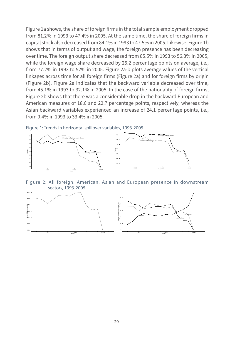Figure 1a shows, the share of foreign firms in the total sample employment dropped from 81.2% in 1993 to 47.4% in 2005. At the same time, the share of foreign firms in capital stock also decreased from 84.1% in 1993 to 47.5% in 2005. Likewise, Figure 1b shows that in terms of output and wage, the foreign presence has been decreasing over time. The foreign output share decreased from 85.5% in 1993 to 56.3% in 2005, while the foreign wage share decreased by 25.2 percentage points on average, i.e., from 77.2% in 1993 to 52% in 2005. Figure 2a-b plots average values of the vertical linkages across time for all foreign firms (Figure 2a) and for foreign firms by origin (Figure 2b). Figure 2a indicates that the backward variable decreased over time, from 45.1% in 1993 to 32.1% in 2005. In the case of the nationality of foreign firms, Figure 2b shows that there was a considerable drop in the backward European and American measures of 18.6 and 22.7 percentage points, respectively, whereas the Asian backward variables experienced an increase of 24.1 percentage points, i.e., from 9.4% in 1993 to 33.4% in 2005.

Figure 1: Trends in horizontal spillover variables, 1993-2005



Figure 2: All foreign, American, Asian and European presence in downstream sectors, 1993-2005

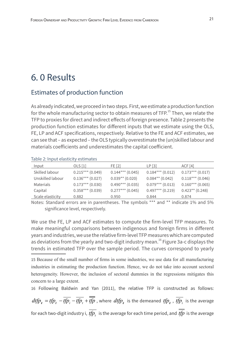## 6. 0 Results

### Estimates of production function

As already indicated, we proceed in two steps. First, we estimate a production function for the whole manufacturing sector to obtain measures of  $TFP<sup>15</sup>$ . Then, we relate the TFP to proxies for direct and indirect effects of foreign presence. Table 2 presents the production function estimates for different inputs that we estimate using the OLS, FE, LP and ACF specifications, respectively. Relative to the FE and ACF estimates, we can see that – as expected – the OLS typically overestimate the (un)skilled labour and materials coefficients and underestimates the capital coefficient.

| Input            | OLS <sub>[1]</sub> | FE [2]             | LP [3]               | ACF <sub>[4]</sub> |
|------------------|--------------------|--------------------|----------------------|--------------------|
| Skilled labour   | $0.215***$ (0.049) | $0.144***$ (0.045) | $0.184***$ (0.012)   | $0.173***$ (0.017) |
| Unskilled labour | $0.136***$ (0.027) | $0.039**$ (0.020)  | $0.084**$ (0.042)    | $0.118***$ (0.046) |
| Materials        | $0.173***$ (0.030) | $0.490***$ (0.035) | $0.079***$ (0.013)   | $0.160***$ (0.065) |
| Capital          | $0.358***$ (0.039) | $0.277***$ (0.045) | $0.497***$ $(0.219)$ | $0.423**$ (0.248)  |
| Scale elasticity | 0.882              | 0.950              | 0.844                | 0.874              |

Table 2: Input elasticity estimates

Notes: Standard errors are in parentheses. The symbols \*\*\* and \*\* indicate 1% and 5% significance level, respectively.

We use the FE, LP and ACF estimates to compute the firm-level TFP measures. To make meaningful comparisons between indigenous and foreign firms in different years and industries, we use the relative firm-level TFP measures which are computed as deviations from the yearly and two-digit industry mean.<sup>16</sup> Figure 3a-c displays the trends in estimated TFP over the sample period. The curves correspond to yearly

15 Because of the small number of firms in some industries, we use data for all manufacturing industries in estimating the production function. Hence, we do not take into account sectoral heterogeneity. However, the inclusion of sectoral dummies in the regressions mitigates this concern to a large extent.

16 Following Baldwin and Yan (2011), the relative TFP is constructed as follows:

 $dtfp_i = tfp_i - \overline{tfp_i} - \overline{tfp_i} + \overline{tfp}$ , where  $dtfp_i$  is the demeaned  $tfp_i$ ,  $\overline{tfp_i}$  is the average for each two-digit industry i,  $\overline{tp}$ , is the average for each time period, and  $\overline{tp}$  is the average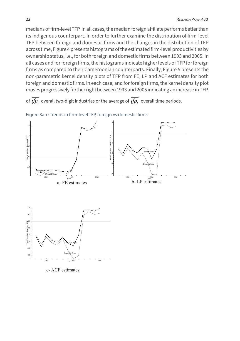medians of firm-level TFP. In all cases, the median foreign affiliate performs better than its indigenous counterpart. In order to further examine the distribution of firm-level TFP between foreign and domestic firms and the changes in the distribution of TFP across time, Figure 4 presents histograms of the estimated firm-level productivities by ownership status, i.e., for both foreign and domestic firms between 1993 and 2005. In all cases and for foreign firms, the histograms indicate higher levels of TFP for foreign firms as compared to their Cameroonian counterparts. Finally, Figure 5 presents the non-parametric kernel density plots of TFP from FE, LP and ACF estimates for both foreign and domestic firms. In each case, and for foreign firms, the kernel density plot moves progressively further right between 1993 and 2005 indicating an increase in TFP.

of  $\overline{tfp}_i$  overall two-digit industries or the average of  $\overline{tfp}_i$  overall time periods.



Figure 3a-c: Trends in firm-level TFP, foreign vs domestic firms

c- ACF estimates

 $v =$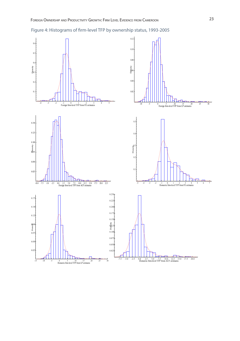

Figure 4: Histograms of firm-level TFP by ownership status, 1993-2005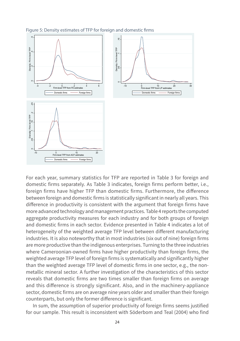

Figure 5: Density estimates of TFP for foreign and domestic firms

For each year, summary statistics for TFP are reported in Table 3 for foreign and domestic firms separately. As Table 3 indicates, foreign firms perform better, i.e., foreign firms have higher TFP than domestic firms. Furthermore, the difference between foreign and domestic firms is statistically significant in nearly all years. This difference in productivity is consistent with the argument that foreign firms have more advanced technology and management practices. Table 4 reports the computed aggregate productivity measures for each industry and for both groups of foreign and domestic firms in each sector. Evidence presented in Table 4 indicates a lot of heterogeneity of the weighted average TFP level between different manufacturing industries. It is also noteworthy that in most industries (six out of nine) foreign firms are more productive than the indigenous enterprises. Turning to the three industries where Cameroonian-owned firms have higher productivity than foreign firms, the weighted average TFP level of foreign firms is systematically and significantly higher than the weighted average TFP level of domestic firms in one sector, e.g., the nonmetallic mineral sector. A further investigation of the characteristics of this sector reveals that domestic firms are two times smaller than foreign firms on average and this difference is strongly significant. Also, and in the machinery-appliance sector, domestic firms are on average nine years older and smaller than their foreign counterparts, but only the former difference is significant.

In sum, the assumption of superior productivity of foreign firms seems justified for our sample. This result is inconsistent with Söderbom and Teal (2004) who find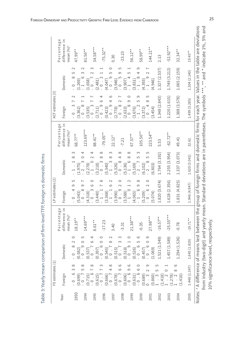| I |        |  |
|---|--------|--|
|   | I      |  |
|   |        |  |
|   |        |  |
|   | Ï      |  |
|   | ١      |  |
|   |        |  |
|   |        |  |
|   | I      |  |
|   |        |  |
|   | l      |  |
|   |        |  |
|   |        |  |
|   |        |  |
|   | İ      |  |
|   | I<br>١ |  |
|   |        |  |
|   | I      |  |
|   |        |  |
| l |        |  |
|   |        |  |
| I |        |  |
| I |        |  |
|   |        |  |
|   |        |  |
|   | Ï<br>١ |  |
|   |        |  |
|   | Ì      |  |
|   | í      |  |
|   |        |  |
| I |        |  |
| ï |        |  |
|   |        |  |
|   | I      |  |
|   |        |  |
|   | ١      |  |
|   |        |  |
|   |        |  |
|   | i      |  |
|   |        |  |
|   |        |  |
|   |        |  |
|   |        |  |
|   |        |  |
|   | Ï<br>١ |  |
|   | ١<br>١ |  |
|   |        |  |
|   | S      |  |
|   |        |  |
|   | j      |  |
|   |        |  |
|   |        |  |
|   |        |  |
|   |        |  |
|   | I      |  |
|   | I<br>١ |  |
|   |        |  |
|   |        |  |
| Ï | ١      |  |
|   | I<br>J |  |
|   | ļ<br>١ |  |

|      |                                                                                             |                                          |                             | LP estimates [2]                                        |                                                      |                                        | ACF estimates [3]                                                                                           |                                                                           |                                        |
|------|---------------------------------------------------------------------------------------------|------------------------------------------|-----------------------------|---------------------------------------------------------|------------------------------------------------------|----------------------------------------|-------------------------------------------------------------------------------------------------------------|---------------------------------------------------------------------------|----------------------------------------|
| Year | Foreign                                                                                     | Domestic                                 | difference in<br>Percentage | Foreign                                                 | Domestic                                             | difference in<br>$\sigma$<br>Percentag | Foreign                                                                                                     | Domestic                                                                  | $\sigma$<br>difference in<br>Percentag |
|      |                                                                                             |                                          | mean (%) <sup>a</sup>       |                                                         |                                                      | mean (%) <sup>a</sup>                  |                                                                                                             |                                                                           | mean (%) <sup>a</sup>                  |
| 993  | $\infty$<br>$\infty$<br>$-0.6$<br>(0.699)                                                   | $\circ$<br>$\sim$<br>$\infty$<br>$\circ$ | $18.19**$                   | 5<br>0<br>$-0.4$<br>(5.043)                             | 3<br>$\infty$<br>$\overline{\phantom{0}}$<br>(1.975) | 68.77**                                | $\sim$<br>$\sim$<br>$\infty$<br>(3.362)<br>$\ddot{0}$ .                                                     | $\sim$<br>5<br>$\infty$<br>(1.269)<br>$\overline{0}$<br>÷,                | 47.99**                                |
| 1994 | $\infty$<br>$\sqrt{2}$<br>$\frac{1}{2}$ 0 -<br>(0.715)                                      | 5<br>$(0.582)$<br>$- 0.9$                | $14.69***$                  | $\sim$<br>$\circ$<br>$8.0 -$<br>(4.318)                 | 4<br>$\circ$<br>2.3<br>(2.278)                       | $123.69***$                            | $\overline{\phantom{0}}$<br>$\overline{ }$<br>$-0.8$<br>(3.535)                                             | $\sim$<br>$\infty$<br>$-1.6$<br>(1.658)                                   | 81.56**                                |
| 1995 | $\infty$<br>$\overline{ }$<br>$-0.6$<br>(0.615)                                             | 4<br>(0.537)                             | $8.61***$                   | $\circ$<br>$\circ$<br>$-0.3$<br>(3.440)                 | 4<br>$\sim$<br>1.0<br>(3.218)                        | 88.41**                                | $\overline{ }$<br>$\overline{ }$<br>$\infty$<br>(2.711)<br>$\begin{array}{c} \cdot \\ \circ \\ \end{array}$ | Σ<br>$\sim$<br>7.0.7<br>(2.481)                                           | $34.58***$                             |
| 1996 | 3<br>$\overline{ }$<br>$\frac{1}{2}$ . 0 -                                                  | 0<br>$(0.397)$<br>$(6.60)$               | $-17.23$                    | ${}^{\circ}$<br>$\overline{ }$<br>1.1<br>(3.368)        | $\infty$<br>$\infty$<br>0.3<br>(5.340)               | $-79.05**$                             | 4<br>6<br>$\circ$<br>(0.423)<br>$\begin{array}{c} \cdot \\ \circ \\ \end{array}$                            | $\overline{\phantom{0}}$<br>$\overline{\phantom{0}}$<br>$-0.2$            | $-75.32**$                             |
| 1997 | $\infty$<br>4<br>$(0.666)$<br>$(980.0)$                                                     | $\sim$<br>$(0.545)$<br>$- 0.77$          | 3.40                        | $\sim$<br>$\circ$<br>$1 \cdot 1$                        | 3<br>$\infty$<br>1.3                                 | $22.12*$                               | G<br>4<br>0<br>$\frac{1}{\circ}$                                                                            | $\circ$<br>ഥ<br>$\begin{bmatrix} 0 & 0 \\ 0 & 0 \end{bmatrix}$<br>(4.047) | 0.30                                   |
| 1998 | $\circ$<br>6<br>$\begin{pmatrix} 0 & 0 \\ 8 & 1 & 0 \\ 8 & 2 & 9 & 0 \end{pmatrix}$         | m<br>ო<br>$(0.515)$<br>$- 0.515$         | $-3.31$                     | $\circ$<br>$\sim$<br>$-0.0$<br>(3.990)                  | $\infty$<br>4<br>0.8<br>(5.326)                      | $-7.21$                                | $\overline{ }$<br>$\sim$<br>$-0.8$<br>(2.778)                                                               | 5<br>$\circ$<br>$-0.5$<br>(3.946)                                         | $-23.23$                               |
|      | 6<br>G<br>$-0$ .<br>(0.606)                                                                 | c<br>(0.518)                             |                             | $\sim$<br>$\overline{\phantom{0}}$<br>$-1.0$<br>(3.588) | $\infty$<br>$\infty$<br>1.6<br>(5.136)               |                                        | $\circ$<br>0<br>$-0.8$<br>(2.633)                                                                           | $\overline{\phantom{0}}$<br>ഥ<br>$-1.4$<br>(3.907)                        |                                        |
| 1999 | $(0.631)$<br>$- 0.6$                                                                        | $(0.526)$<br>$- 0.6$                     | $21.38***$                  | (4.065)                                                 | (5.169)                                              | $67.57**$                              | (3.676)                                                                                                     | (3.831)                                                                   | 56.12**                                |
| 2000 | $\circ$<br>6                                                                                | ဖ                                        | $-0.35$                     | $\infty$<br>$\circ$<br>$-1.6$<br>(5.209)                | 3<br>ഥ<br>2.7<br>(6.102)                             | $105.50**$                             | 0<br>5<br>$-1.2$<br>(3.372)                                                                                 | 0<br>4<br>$-1.8$<br>(4.393)                                               | 58.99**                                |
| 2001 | 0<br>$\sim$<br>$(0.689)$<br>0.3<br>$(0.860)$<br>1.3                                         | ത<br>$(0.457)$<br>$- 0.6$<br>(1.069)     | $27.98***$                  | $\circ$<br>$\sim$<br>$-0.6$<br>(5.074)                  | ഥ<br>5<br>2.8<br>(6.803)                             | $223.54***$                            | 5<br>$\infty$<br>4<br>(3.454)<br>$\begin{array}{c}\n\cdot \\ \circ \\ \cdot\n\end{array}$                   | Ľ<br>$\overline{\mathcal{C}}$<br>$-1.9$<br>(4.946)                        | $144.21***$                            |
| 2002 | 5<br>5                                                                                      | 49)<br>.521(1.5)                         | $-16.57**$                  | 1.820 (3.674)                                           | 1.764 (3.192)                                        | 5.53                                   | 1.348 (2.843)                                                                                               | 1.327(2.537)                                                              | 2.13                                   |
| 2003 | $\overline{\phantom{0}}$<br>$\circ$<br>$\begin{smallmatrix} (1.418)\\1&2 \end{smallmatrix}$ | 89)<br>1.457 (1.5)                       | $-25.55***$                 | 1.628 (2.356)                                           | 2.255(3.954)                                         | $-62.72**$                             | 1.220(1.615)                                                                                                | 1.749(3.212)                                                              | $-52.92***$                            |
| 2004 | G<br>$\infty$<br>$\begin{pmatrix} 1.278 \\ 1 & 2 \\ 1.416 \end{pmatrix}$                    | 26)<br>1.294(1.5)                        | $-0.78$                     | 1.831(4.825)                                            | 1.337(3.073)                                         | 49.41                                  | 1.388 (3.578)                                                                                               | 1.065(2.159)                                                              | $32.34***$                             |
| 2005 | 1.448(1.347)                                                                                | ട<br>1.645 (1.81)                        | $-19.71**$                  | 1.946 (4.947)                                           | 1.620(3.041)                                         | 32.62                                  | 1.499 (3.285)                                                                                               | 1.304(2.140)                                                              | $19.45**$                              |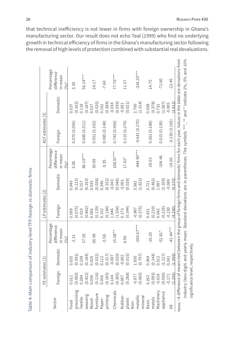Table 4: Main compation of industry-level [179; foreign w domestic firms<br>
Second to a compatible in the stress of the stress of the stress of the stress of the stress of the stress of<br>
Front from the stress of the stress

that technical inefficiency is not lower in firms with foreign ownership in Ghana's manufacturing sector. Our result does not echo Teal (1999) who find no underlying growth in technical efficiency of firms in the Ghana's manufacturing sector following the removal of high levels of protection combined with substantial real devaluations.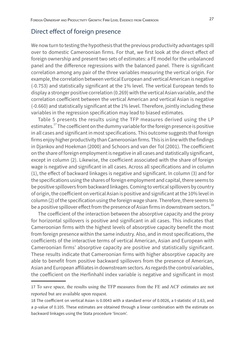### Direct effect of foreign presence

We now turn to testing the hypothesis that the previous productivity advantages spill over to domestic Cameroonian firms. For that, we first look at the direct effect of foreign ownership and present two sets of estimates: a FE model for the unbalanced panel and the difference regressions with the balanced panel. There is significant correlation among any pair of the three variables measuring the vertical origin. For example, the correlation between vertical European and vertical American is negative (-0.753) and statistically significant at the 1% level. The vertical European tends to display a stronger positive correlation (0.269) with the vertical Asian variable, and the correlation coefficient between the vertical American and vertical Asian is negative (-0.660) and statistically significant at the 1% level. Therefore, jointly including these variables in the regression specification may lead to biased estimates.

Table 5 presents the results using the TFP measures derived using the LP estimates.<sup>17</sup> The coefficient on the dummy variable for the foreign presence is positive in all cases and significant in most specifications. This outcome suggests that foreign firms enjoy higher productivity than Cameroonian firms. This is in line with the findings in Djankov and Hoekman (2000) and Schoors and van der Tol (2001). The coefficient on the share of foreign employment is negative in all cases and statistically significant, except in column (2). Likewise, the coefficient associated with the share of foreign wage is negative and significant in all cases. Across all specifications and in column (1), the effect of backward linkages is negative and significant. In column (3) and for the specifications using the shares of foreign employment and capital, there seems to be positive spillovers from backward linkages. Coming to vertical spillovers by country of origin, the coefficient on vertical Asian is positive and significant at the 10% level in column (2) of the specification using the foreign wage share. Therefore, there seems to be a positive spillover effect from the presence of Asian firms in downstream sectors.<sup>18</sup>

The coefficient of the interaction between the absorptive capacity and the proxy for horizontal spillovers is positive and significant in all cases. This indicates that Cameroonian firms with the highest levels of absorptive capacity benefit the most from foreign presence within the same industry. Also, and in most specifications, the coefficients of the interactive terms of vertical American, Asian and European with Cameroonian firms' absorptive capacity are positive and statistically significant. These results indicate that Cameroonian firms with higher absorptive capacity are able to benefit from positive backward spillovers from the presence of American, Asian and European affiliates in downstream sectors. As regards the control variables, the coefficient on the Herfinhahl index variable is negative and significant in most

<sup>17</sup> To save space, the results using the TFP measures from the FE and ACF estimates are not reported but are available upon request.

<sup>18</sup> The coefficient on vertical Asian is 0.0043 with a standard error of 0.0026, a t-statistic of 1.63, and a p-value of 0.105. These estimates are obtained through a linear combination with the estimate on backward linkages using the Stata procedure 'lincom'.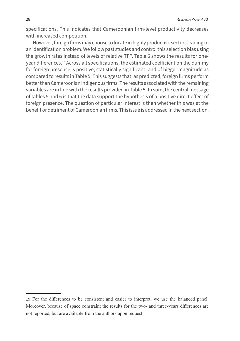specifications. This indicates that Cameroonian firm-level productivity decreases with increased competition.

However, foreign firms may choose to locate in highly productive sectors leading to an identification problem. We follow past studies and control this selection bias using the growth rates instead of levels of relative TFP. Table 6 shows the results for oneyear differences.19 Across all specifications, the estimated coefficient on the dummy for foreign presence is positive, statistically significant, and of bigger magnitude as compared to results in Table 5. This suggests that, as predicted, foreign firms perform better than Cameroonian indigenous firms. The results associated with the remaining variables are in line with the results provided in Table 5. In sum, the central message of tables 5 and 6 is that the data support the hypothesis of a positive direct effect of foreign presence. The question of particular interest is then whether this was at the benefit or detriment of Cameroonian firms. This issue is addressed in the next section.

<sup>19</sup> For the differences to be consistent and easier to interpret, we use the balanced panel. Moreover, because of space constraint the results for the two- and three-years differences are not reported, but are available from the authors upon request.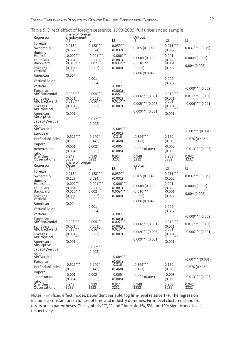| Table 5: Direct effect of foreign presence, 1993-2005, full unbalanced sample |  |
|-------------------------------------------------------------------------------|--|
|-------------------------------------------------------------------------------|--|

| rapic <i>J.</i> Direct                         |                                       |                         |                             | enect or foreign presence, 1999 zoo9, full difbalanced sample |                             |                        |
|------------------------------------------------|---------------------------------------|-------------------------|-----------------------------|---------------------------------------------------------------|-----------------------------|------------------------|
| Regressor                                      | Share of foreign<br>$[1]$             | [2]                     | [3]                         | Output<br>[1]                                                 | $[2]$                       | $[3]$                  |
| Foreign                                        | $0.213*$                              | $0.123***$              | $0.059**$                   |                                                               | $0.011***$                  |                        |
| ownership                                      | (0.127)                               | (0.024)                 | (0.032)                     | 0.165(0.114)                                                  | (0.002)                     | $0.037***$ (0.015)     |
| dummy<br>Horizontal                            | $-0.002**$                            | $-0.001***$             | $-0.006***$                 | 0.0004(0.003)                                                 | 0.001                       | 0.0005(0.005)          |
| spillovers<br>Backward                         | (0.001)<br>$-0.010***$                | (0.0001)<br>0.002       | (0.001)<br>$0.009***$       | $-0.010***$                                                   | (0.003)<br>-0.001           | 0.004(0.005)           |
| linkages<br>Vertičal                           | (0.004)<br>0.005                      | (0.003)                 | (0.004)                     | (0.005)<br>0.006(0.004)                                       | (0.002)                     |                        |
| American                                       | (0.004)                               |                         |                             |                                                               |                             |                        |
| Vertical Asian                                 |                                       | 0.001                   |                             |                                                               | 0.002                       |                        |
| Vertical                                       |                                       | (0.004)                 | $-0.002$                    |                                                               | (0.002)                     |                        |
| European                                       |                                       | $0.005***$              | $(0.003)$<br>$0.007***$     |                                                               |                             | $-0.009$ *** (0.002)   |
| ABCHorizontal<br>spillovers                    | $0.003***$<br>$(0.001)$<br>$0.015***$ | $(0.001)$<br>$0.016***$ | $(0.001)$<br>$0.010***$     | $0.006***$ (0.001)                                            | $0.012***$<br>(0.001)       | $0.017***$ (0.001)     |
| ABC Backward                                   |                                       | (0.002)                 | (0.002)                     | $0.009***$ (0.003)                                            | 0.001                       | $-0.006***$ (0.001)    |
| linkages<br>ABC Vertical<br>American           | $(0.001)$<br>$0.008***$<br>(0.001)    |                         |                             | $0.009***$ (0.001)                                            | (0.001)<br>0.005<br>(0.001) |                        |
| Absorptive                                     |                                       | $0.012***$              |                             |                                                               |                             |                        |
| capacityVertical<br>Asian                      |                                       | (0.002)                 |                             |                                                               |                             |                        |
| ABCVertical                                    |                                       |                         | $-0.004***$                 |                                                               |                             | $-0.007$ *** $(0.001)$ |
| European                                       | $-0.525***$                           | $-0.240*$               | $(0.001)$<br>$-0.316$       | $-0.324***$                                                   | 0.160                       |                        |
| Herfindahl index                               | (0.156)                               | (0.145)                 | (0.468)                     | (0.121)                                                       | (0.115)                     | -0.676 (0.465)         |
| Import                                         | $-0.001$                              | 0.002                   | $-0.005$                    |                                                               | $-0.003$                    |                        |
| penetration<br>ratio                           | (0.004)                               | (0.003)                 | (0.005)                     | $-0.002(0.004)$                                               | (0.003)                     | $-0.013***$ (0.005)    |
| $R^2$ within<br>Observations                   | 0.949<br>32<br>Share of foreign       | 0.939<br>3232           | 0.914<br>3232               | 0.948<br>3232                                                 | 0.969<br>3232               | 0.942<br>3232          |
| Regressor                                      | Wage                                  |                         |                             | Capital                                                       |                             |                        |
| Foreign                                        | [1]                                   | [2]                     | [3]                         | [1]                                                           | $[2]$                       | [3]                    |
| ownership                                      | $0.213*$<br>(0.127)                   | $0.123***$<br>(0.024)   | $0.059**$<br>(0.032)        | 0.165(0.114)                                                  | $0.011***$<br>(0.002)       | $0.037***$ (0.015)     |
| dummy<br>Horizońtal                            | $-0.002**$                            | $-0.001***$             | $-0.006***$                 |                                                               | 0.001                       |                        |
| spillovers<br>Backward                         | $(0.001)$<br>-0.010***                | (0.0001)                | $(0.001)$<br>$0.009***$     | 0.0004(0.003)                                                 | $(0.003)$<br>-0.001         | 0.0005(0.005)          |
| linkages                                       | (0.004)                               | 0.002<br>(0.003)        | (0.004)                     | $-0.010***$<br>(0.005)                                        | (0.002)                     | 0.004(0.005)           |
| Vertičal                                       | 0.005                                 |                         |                             | 0.006(0.004)                                                  |                             |                        |
| American<br>Vertical Asian                     | (0.004)                               | 0.001                   |                             |                                                               | 0.002                       |                        |
| Vertical                                       |                                       | (0.004)                 | $-0.002$                    |                                                               | (0.002)                     |                        |
| European<br>ABCHorizontal                      | $0.003***$                            | $0.005***$              | (0.003)<br>0.007            |                                                               | $0.012***$                  | $-0.009$ *** (0.002)   |
| spillovers<br>AˈBC Backward                    | (0.001)<br>$0.015***$                 | (0.001)<br>$0.016***$   | (0.001)<br>$0.010***$       | $0.006***$ (0.001)                                            | (0.001)<br>0.001            | $0.017***$ (0.001)     |
| linkages<br><b>ABC Vertical</b>                | $(0.001)$<br>$0.008***$               | (0.002)                 | (0.002)                     | $0.009***$ (0.003)                                            | (0.001)<br>0.005            | $-0.006***$ (0.001)    |
| American<br>Absorptive                         | (0.001)                               |                         |                             | $0.009***$ (0.001)                                            | (0.001)                     |                        |
| capacityVertical                               |                                       | $0.012***$              |                             |                                                               |                             |                        |
| Asian<br>ABCVertical                           |                                       | (0.002)                 | $-0.004***$                 |                                                               |                             | $-0.007$ *** $(0.001)$ |
| European                                       | $-0.525***$                           |                         | $(0.001)$ <sup>-0.316</sup> | $-0.324***$                                                   |                             |                        |
| Herfindahl index                               | (0.156)                               | $-0.240*$<br>(0.145)    | (0.468)                     | (0.121)                                                       | 0.160<br>(0.115)            | $-0.676(0.465)$        |
| Import                                         | $-0.001$                              | 0.002                   | $-0.005$                    |                                                               | $-0.003$                    |                        |
| penetration                                    | (0.004)                               | (0.003)                 | (0.005)                     | $-0.002(0.004)$                                               | (0.003)                     | $-0.013***$ (0.005)    |
| ratio<br>R <sup>2</sup> within<br>Observations | 0.949<br>3232                         | 0.939<br>3232           | 0.914<br>3232               | 0.948<br>3232                                                 | 0.969<br>3232               | 0.942<br>3232          |

Notes: Firm fixed effect model. Dependent variable: log firm-level relative TFP. The regression includes a constant and a full set of time and industry dummies. Firm-level clustered standard errors are in parentheses. The symbols \*\*\*, \*\* and \* indicate 1%, 5% and 10% significance level, respectively.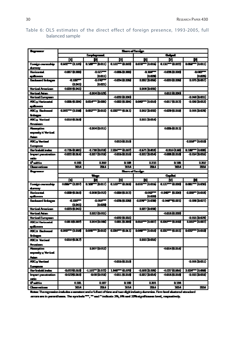#### Table 6: OLS estimates of the direct effect of foreign presence, 1993-2005, full balanced sample

| مسدودا                                                              | Sure of funcys        |                             |                             |                             |                     |                         |
|---------------------------------------------------------------------|-----------------------|-----------------------------|-----------------------------|-----------------------------|---------------------|-------------------------|
|                                                                     |                       | فسيراجئ                     |                             |                             | ſ                   |                         |
|                                                                     | [1]                   | P                           | 回                           | 凹                           | 2                   | M                       |
| Foreign ownership<br>durany.                                        | 0.60 - 0.106          | <b>a 1877 in City</b>       | 0.161 == (0.DfS)            | han and                     | 0.131 - (0.017)     | <b>DOM: 10011)</b>      |
| <b>Horizontal</b><br>qilovan                                        | 0.007 (0.008)         | -0.027<br>tumul             | $-0.005$ (CDD)              | -0.000-<br>haozada          | 10030000            | $-0.057$<br>00 000 U    |
| <b>Bestmend Enlargem</b>                                            | <b>distr</b><br>(LDU) | -1.0AT<br>(1002)            | <b>-0.004 (0.006)</b>       | <b>LECT DOM:</b>            | 1002810.000         | 1.075 0.057             |
| <b><i><u>Vartical American</u></i></b>                              | 0.026 (0.041)         |                             |                             | 1,008 (1,035)               |                     |                         |
| <b><i><u>Vertical Asian</u></i></b>                                 |                       | 4.004 (0.028)               |                             |                             | 0.012 (0.030)       |                         |
| <b>Yartical European</b>                                            |                       |                             | $-0.032(0.030)$             |                             |                     | 4.018 D.C.1)            |
| ABC <sub>X</sub> Herizontal<br>qilovan                              | 0.006 (0.004)         | <b>DOLF" DOM</b>            | $-0.0002, (0.004)$          | hour hand                   | -0.017 (0.012)      | 4.000 p.m.s)            |
| <b>ABC<sub>X</sub></b> Businessed<br>مسانا                          | apar= (ama)           | <b>DOSZ – DOID</b>          | anny (1911)                 | 1002 කණ)                    | -0.073 (0.010)      | 1.005 0.021             |
| <b>ABC<sub>X</sub></b> Varticul<br>Amariaan                         | 1000300               |                             |                             | ama hang                    |                     |                         |
| <b>Managerica</b><br>expensity X Vertical<br>مشاء                   |                       | -0.004 (0.011)              |                             |                             | 0.006 (0.011)       |                         |
| <b>ABC<sub>X</sub></b> Vertical<br><u> Eventon </u>                 |                       |                             | 0.013 (0.010)               |                             |                     | -amery locus            |
| Herfoniaki induz                                                    | -0.725 (江里1)          | 4.730 (0.610)               | 2004-01037                  | -1571 (1811)                | <b>CHIS(LES)</b>    | <b>D.1877 (000)</b>     |
| <b>Import penatration</b><br>ntio                                   | 0.022 (0.014)         | <b>JELT (DOLE)</b>          | -0015 (0.016)               | -1012 D.O.Q                 | <b>-0.000.00016</b> | <b>404 005</b>          |
| Patis                                                               | 0.152                 | 0.209                       | 0.155                       | 8213                        | <b>D. 1. 15</b>     | 8.202                   |
| <b>Chancer</b>                                                      | 2014                  | 2014                        | 3014                        | या                          | <b>XIIA</b>         | $\overline{\mathbf{m}}$ |
|                                                                     |                       |                             |                             |                             |                     |                         |
| مسوا                                                                |                       |                             | Serveifung:                 |                             |                     |                         |
|                                                                     |                       | <u>س 11</u>                 |                             |                             | Į                   |                         |
|                                                                     | П                     | M                           | 団                           | Ю                           | <b>d</b>            | м                       |
| Foreign ownership<br>durany.                                        | 0.000 (0.037)         | <b>a xarr tac</b> uri       | 0.163 <sup>--</sup> (0.016) | <b>DOGT 10015</b>           | 0.127 m (0.006)     | <b>DOM: 0008</b>        |
| <b>Horizontal</b><br>qilovan                                        | 0 <b>00 (1016)</b>    | -1.000 (0.013)              | -0.008 (0.012)              | $-0.05T =$<br><b>hazoni</b> | 0.007 (0.00)        | 1000 - 100              |
| Bestmend Entrepen                                                   | $-100$<br>(LDLI)      | $-1.064 -$<br><b>hacers</b> | $-0.0355(0.026)$            | <b>-1007 1008</b>           | 1007021             | -1.050 m.CZ7)           |
| <b><i><u>Vertical American</u></i></b>                              | 0.023 (0.041)         |                             |                             | <b>1077 (1) CSN</b>         |                     |                         |
| <b><i>Vertical Asian</i></b>                                        |                       | a.m2 (0.051)                |                             |                             | -0.018.(0.033)      |                         |
| <b>Vertical European</b>                                            |                       |                             | -0.002 (0.031)              |                             |                     | -1.015 (1.025)          |
| <b>ABC:x Herizontal</b><br>qilovan                                  | 0年50年                 | 1,004 0.000                 | $0$ ana (alame)             | <b>DOUT 0.007</b>           | <b>GEOF (GDD)</b>   | <b>LDIST 0.007</b>      |
| <b>ABC:x Bushmand</b>                                               | acar ani              | <b>DOST DOID</b>            | زروية سوي                   | <b>DOM: 0016</b>            | ansy-kami           | <b>DOGS-10010</b>       |
| مودانا<br><b>ABC:x Vartical</b><br>Amaiam                           | 0.018 (0.017)         |                             |                             | ans has                     |                     |                         |
| <b><i><u>Humpion</u></i></b><br>especity <b>x</b> Vertical<br>ومشار |                       | 110701012                   |                             |                             | 10014 (0.014)       |                         |
| ABC <sub>2</sub> Vertical<br>European                               |                       |                             | -0.015 (0.010)              |                             |                     | -0.006 (D.CL1)          |
| Herfoniald index                                                    | 687088                | $-1167 - 0.55$              | <b>LIKE THERE</b>           | 100000.000                  | $-0.537(0.59)$      | 20227-0000              |
| import penatration<br>ndio                                          | 10220116              | 1000 0000                   | -0.011 (0.018)              | -102000                     | 10018 (0.016)       | 1013 DOL:               |
| Pwtia                                                               | 0.1H                  | 0.187                       | 0.1.0                       | 1.201                       | 0.154               |                         |

Notes: The regression instales a constant and a full set of time and two digit inclusivy duranies. Form level students standard cross are in perenthance. The symbols \*\*\*, \*\* and \* indicate 1%, 6% and 10% significances lovel, respectively.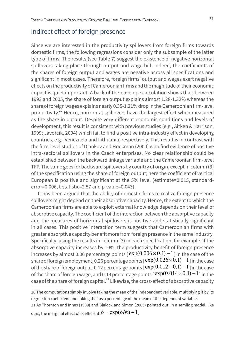### Indirect effect of foreign presence

Since we are interested in the productivity spillovers from foreign firms towards domestic firms, the following regressions consider only the subsample of the latter type of firms. The results (see Table 7) suggest the existence of negative horizontal spillovers taking place through output and wage bill. Indeed, the coefficients of the shares of foreign output and wages are negative across all specifications and significant in most cases. Therefore, foreign firms' output and wages exert negative effects on the productivity of Cameroonian firms and the magnitude of their economic impact is quiet important. A back-of-the-envelope calculation shows that, between 1993 and 2005, the share of foreign output explains almost 1.28-1.32% whereas the share of foreign wages explains nearly 0.35-1.21% drop in the Cameroonian firm-level productivity.<sup>20</sup> Hence, horizontal spillovers have the largest effect when measured as the share in output. Despite very different economic conditions and levels of development, this result is consistent with previous studies (e.g., Aitken & Harrison, 1999; Javorcik, 2004) which fail to find a positive intra-industry effect in developing countries, e.g., Venezuela and Lithuania, respectively. This result is in contrast with the firm-level studies of Djankov and Hoekman (2000) who find evidence of positive intra-sectoral spillovers in the Czech enterprises. No clear relationship could be established between the backward linkage variable and the Cameroonian firm-level TFP. The same goes for backward spillovers by country of origin, except in column (3) of the specification using the share of foreign output; here the coefficient of vertical European is positive and significant at the 5% level (estimate=0.015, standarderror=0.006, t-statistic=2.57 and p-value=0.043).

It has been argued that the ability of domestic firms to realize foreign presence spillovers might depend on their absorptive capacity. Hence, the extent to which the Cameroonian firms are able to exploit external knowledge depends on their level of absorptive capacity. The coefficient of the interaction between the absorptive capacity and the measures of horizontal spillovers is positive and statistically significant in all cases. This positive interaction term suggests that Cameroonian firms with greater absorptive capacity benefit more from foreign presence in the same industry. Specifically, using the results in column (3) in each specification, for example, if the absorptive capacity increases by 10%, the productivity benefit of foreign presence increases by almost 0.06 percentage points  $[\exp(0.006 \times 0.1) - 1]$  in the case of the share of foreign employment, 0.26 percentage points  $[$  exp $(0.026 \times 0.1) - 1$ ] in the case of the share of foreign output, 0.12 percentage points  $\lceil \exp(0.012 \times 0.1) - 1 \rceil$  in the case of the share of foreign wage, and 0.14 percentage points  $[$  exp $(0.014\times0.1) - 1$  ] in the case of the share of foreign capital. $^{21}$  Likewise, the cross-effect of absorptive capacity

20 The computations simply involve taking the mean of the independent variable, multiplying it by its regression coefficient and taking that as a percentage of the mean of the dependent variable.

21 As Thornton and Innes (1989) and Blalock and Simon (2009) pointed out, in a semilog model, like ours, the marginal effect of coefficient  $b = \exp(b\,\delta x) - 1$ .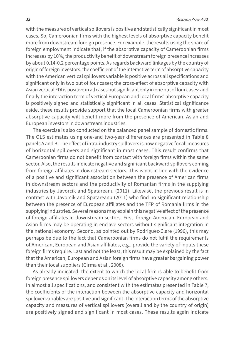with the measures of vertical spillovers is positive and statistically significant in most cases. So, Cameroonian firms with the highest levels of absorptive capacity benefit more from downstream foreign presence. For example, the results using the share of foreign employment indicate that, if the absorptive capacity of Cameroonian firms increases by 10%, the productivity benefit of downstream foreign presence increases by about 0.14-0.2 percentage points. As regards backward linkages by the country of origin of foreign investors, the coefficient of the interactive term of absorptive capacity with the American vertical spillovers variable is positive across all specifications and significant only in two out of four cases; the cross-effect of absorptive capacity with Asian vertical FDI is positive in all cases but significant only in one out of four cases; and finally the interaction term of vertical European and local firms' absorptive capacity is positively signed and statistically significant in all cases. Statistical significance aside, these results provide support that the local Cameroonian firms with greater absorptive capacity will benefit more from the presence of American, Asian and European investors in downstream industries.

The exercise is also conducted on the balanced panel sample of domestic firms. The OLS estimates using one-and two-year differences are presented in Table 8 panels A and B. The effect of intra-industry spillovers is now negative for all measures of horizontal spillovers and significant in most cases. This result confirms that Cameroonian firms do not benefit from contact with foreign firms within the same sector. Also, the results indicate negative and significant backward spillovers coming from foreign affiliates in downstream sectors. This is not in line with the evidence of a positive and significant association between the presence of American firms in downstream sectors and the productivity of Romanian firms in the supplying industries by Javorcik and Spatareanu (2011). Likewise, the previous result is in contrast with Javorcik and Spatareanu (2011) who find no significant relationship between the presence of European affiliates and the TFP of Romania firms in the supplying industries. Several reasons may explain this negative effect of the presence of foreign affiliates in downstream sectors. First, foreign American, European and Asian firms may be operating in enclave sectors without significant integration in the national economy. Second, as pointed out by Rodriguez-Clare (1996), this may perhaps be due to the fact that Cameroonian firms do not fulfil the requirements of American, European and Asian affiliates, e.g., provide the variety of inputs these foreign firms require. Last and not the least, this result may be explained by the fact that the American, European and Asian foreign firms have greater bargaining power than their local suppliers (Girma et al., 2008).

As already indicated, the extent to which the local firm is able to benefit from foreign presence spillovers depends on its level of absorptive capacity among others. In almost all specifications, and consistent with the estimates presented in Table 7, the coefficients of the interaction between the absorptive capacity and horizontal spillover variables are positive and significant. The interaction terms of the absorptive capacity and measures of vertical spillovers (overall and by the country of origin) are positively signed and significant in most cases. These results again indicate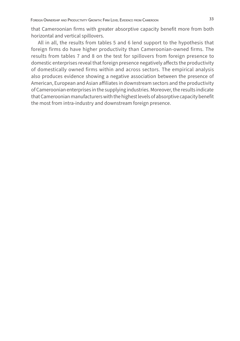that Cameroonian firms with greater absorptive capacity benefit more from both horizontal and vertical spillovers.

All in all, the results from tables 5 and 6 lend support to the hypothesis that foreign firms do have higher productivity than Cameroonian-owned firms. The results from tables 7 and 8 on the test for spillovers from foreign presence to domestic enterprises reveal that foreign presence negatively affects the productivity of domestically owned firms within and across sectors. The empirical analysis also produces evidence showing a negative association between the presence of American, European and Asian affiliates in downstream sectors and the productivity of Cameroonian enterprises in the supplying industries. Moreover, the results indicate that Cameroonian manufacturers with the highest levels of absorptive capacity benefit the most from intra-industry and downstream foreign presence.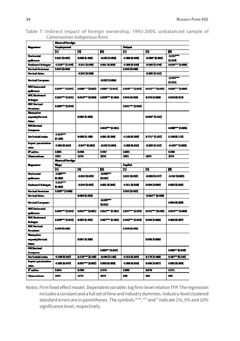#### Table 7: Indirect impact of foreign ownership, 1993-2005, unbalanced sample of Cameroonian indigenous firms

|                                        | Shern of foreign     |                        |                       |                           |                      |                            |  |
|----------------------------------------|----------------------|------------------------|-----------------------|---------------------------|----------------------|----------------------------|--|
| مسعولا                                 | Employment.          |                        |                       | Dubunat                   |                      |                            |  |
|                                        | о                    | Н                      | М                     | [1]                       | 14                   | М                          |  |
| <b>Horizontal</b><br>qilovan           | 0.002 (0.002)        | <b>0.000 (0.006)</b>   | $-0.003$ $[0.0005]$   | <b>0.000 ADOR)</b>        | ame (ame             | $-0.012 -$<br>00.004       |  |
| Besignerd Entreport                    | -0.015 = (0.000)     | $-0.001(0.000)$        | 0.001 (0.006)         | $-0.0000$ (0.000)         | -0.003 (0.006)       | $0$ and $  0$ and $ $      |  |
| Vertical American                      | 0.004 0.000          |                        |                       | 100900000                 |                      |                            |  |
| Vertical Asian                         | $-0.002(0.000)$      |                        |                       |                           | 0.00020.0021         |                            |  |
|                                        |                      |                        |                       |                           |                      | $-0.005$                   |  |
| <b>Vertical European</b>               |                      |                        | <b>-0.002 (0.004)</b> |                           |                      | (1001)                     |  |
| <b>ABC Incinental</b><br>qilovm        | 0.007 (0.001)        | نسب - سم               |                       | 0.000 - 0.003             | 0017 = (000)         | 0.0207 - 0.006)            |  |
| ABC Enclosed<br>مرحاظ                  | ams = (apo1)         | ስመም ከመየ                | $0.000 - (0.004)$     | 1005 (1004)               | 0.018 (0.053)        | aan jams)                  |  |
| ABC Verticed<br>Amaiem                 | amo = (a.cos)        |                        |                       | am1=4006                  |                      |                            |  |
| <b>Managerice</b>                      |                      |                        |                       |                           |                      |                            |  |
| especity Vertical<br>ومشار             |                      | <b>D.COOK (O.DOOS)</b> |                       |                           | <b>0.00F (0.002)</b> |                            |  |
| <b>ABCUtational</b>                    |                      |                        |                       |                           |                      |                            |  |
| Evropean                               |                      |                        | $0.010 - (0.001)$     |                           |                      | 0.000 The Read of Delivery |  |
| Herfontekt index                       | $-0.012$<br>(0.11)   | <b>DOM (0.100)</b>     | 0.001 (0.200)         | 0.163 (0.263)             | <b>0711*0.622</b>    | 02/0101739                 |  |
| Import penabution<br>ntio              | -0.008 (0.005)       | -1.007 (1.104)         | -0.002 (0.004)        | 0.003 (0.005)             | 4.0034.002           | $-0.005 - [0.003]$         |  |
| Patis                                  | 1.50                 | 0.933                  | 0.947                 | 1.53                      |                      | 0.946                      |  |
| <b>Channerium</b>                      | 1074                 | 1074                   | 174                   | 1074                      | 1074                 | 1074                       |  |
|                                        | Show of foreign      |                        |                       |                           |                      |                            |  |
| مسجا                                   | π.,                  |                        |                       | المتبعة                   |                      |                            |  |
|                                        | п                    | 14                     | ÞІ                    | п                         | 14                   | м                          |  |
| <b>Horizontal</b><br>qilaan            | $-0.000$<br>(0.000)  | -11002010000           | $-0.004 -$<br>0.001   | 1,001 (1,002)             | -0.008 (0.007)       | -1.002 (1.000)             |  |
| Bestmend Entrepor                      | $-0.012$<br>(0.006)  | -0.004(0.003)          | 0.001 (0.004)         | 0.011 (0.DO)              | 0.004 (0.008)        | 0.0002 (0.006)             |  |
| <b><i><u>Vertical American</u></i></b> | amar jaard           |                        |                       |                           |                      |                            |  |
| Yertical Asian                         |                      | <b>DOM (0.003)</b>     |                       |                           | -0.005 = (0.000)     |                            |  |
|                                        |                      |                        | $-0.003 -$            |                           |                      |                            |  |
| <b>Vertical European</b>               |                      |                        | (nom)                 |                           |                      | 0.004 (0.003)              |  |
| <b>ABCHarizontal</b><br>qilaan         | 0.009 - (0.005)      | har-ban                | 0.012 == (0.011)      | 0.007 = 0.005             | 0.012 = (0.000)      | 0.014 m (0.003)            |  |
| <b>ABC Bedoverd</b><br>موطئ            | 0.00877 (0.005)      | 0.000 (0.002)          | 0호7-10호               | 0.009 <sup>--</sup> 0.000 | 0.004 (0.0006)       | 0.0008 (0.007)             |  |
| <b>ABC Verticed</b><br>Anaiem          | 0.000 (0.000)        |                        |                       | 1,000 (0.005)             |                      |                            |  |
| Muurptiva                              |                      |                        |                       |                           |                      |                            |  |
| especial Wertical                      |                      | மன (ஊத                 |                       |                           | <b>0.005 (0.006)</b> |                            |  |
| . .                                    |                      |                        |                       |                           |                      |                            |  |
| <b>ABC Vertical</b><br>European        |                      |                        | 0.004 (0.002)         |                           |                      | 0.000FF (0.003)            |  |
| Herfindeld index                       | $-0.249(0.267)$      | 0.55 m 0.200           | 10040145              | 0.313 (1.334)             | 0.178 (0.458)        | 0417-0216                  |  |
| Import penatration<br>ntio             | <b>0.002 (0.007)</b> | نست سمہ                | 0.003 (0.003)         | 0.000 (0.000)             | 0.005 (0.007)        | 0.0002, 0.0003             |  |
| Patis                                  | 1.144                | 0.964                  | 0.974                 | 山野                        | <b>DUTE</b>          | <b>QST1</b>                |  |
| مستعدمات                               | 1074                 | 1074                   | 3074                  | æ                         | 530                  | 630                        |  |

Notes: Firm fixed effect model. Dependent variable: log firm-level relative TFP. The regression includes a constant and a full set of time and industry dummies. Industry-level clustered standard errors are in parentheses. The symbols \*\*\*, \*\* and \* indicate 1%, 5% and 10% significance level, respectively.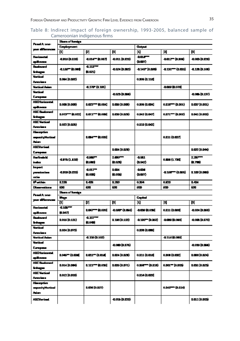#### Table 8: Indirect impact of foreign ownership, 1993-2005, balanced sample of Cameroonian indigenous firms

| Panel A: one-                            | Share of foreign         |                          |                 |                         |                         |                      |  |  |
|------------------------------------------|--------------------------|--------------------------|-----------------|-------------------------|-------------------------|----------------------|--|--|
|                                          | <b>Employment</b>        |                          |                 | <b>Chairman</b>         |                         |                      |  |  |
| yar dilawan                              | n                        | [2]                      | 3               | 11                      | 14                      | 冏                    |  |  |
| <b>Herizestal</b><br>spilovan            | (HEC) ama                | -0.014** (0.007)         | 4.011 (D.D.D)   | -DOLARY<br>位面形          | -0012 - (0.006)         | 4.003 (D.D.T.)       |  |  |
| <b>Bestward</b><br>integer               | <b>4115 - (1.006)</b>    | $-0.112$<br>(1,021)      | 4.024 (D.BKI)   | -0.145" (0.090)         | -0131 -- (0.025)        | <b>4.123 (D.100)</b> |  |  |
| Vertinal<br>American                     | 0.064 (0.092)            |                          |                 | <b>0.006 (0.11ft)</b>   |                         |                      |  |  |
| <b>Vartical Action</b>                   |                          | 4170° (1.101)            |                 |                         | <b>-DOBB (0.076)</b>    |                      |  |  |
| Verticed                                 |                          |                          |                 |                         |                         |                      |  |  |
| Europena                                 |                          |                          | 0.023 (0.000)   |                         |                         | <b>4.065 (D.137)</b> |  |  |
| <b>ABD to immtal</b>                     | 0.008 (0.008)            | 1.022 *** (1.004)        |                 |                         | 0.011 - (D.001)         |                      |  |  |
| spilovan                                 |                          |                          | 0.006 (0.008)   | 0.005 (0.004)           |                         | lost (O.BSL)         |  |  |
| ABC Baskerard<br>سيسانا                  | <b>LOTS -- (LOTZ)</b>    | 0.071 m (0.000)          | 1,006 (0.021)   | 0.142 (LOFT)            | 0.071 - 0.002)          | 1.041 (0.DS2)        |  |  |
| <b>ABC Verticed</b><br>American          | 1,022 (0.125)            |                          |                 | 0.010 (0.042)           |                         |                      |  |  |
| Almorptive                               |                          |                          |                 |                         |                         |                      |  |  |
| <b>mparityVertical</b><br>Aim.           |                          | <b>LOM - (LOZE)</b>      |                 |                         | 0.011 (1.027)           |                      |  |  |
| <b>ABCVertical</b><br>European           |                          |                          | 0.004 (0.021)   |                         |                         | 0.022 (0.044)        |  |  |
| <b>Herfinsk M</b>                        |                          | <b>QDBS**</b>            | 2.000           | -0.511                  |                         | 2,287-11             |  |  |
| index.                                   | 4.FT (1.E11)             | (1.508)                  | (1,021)         | 位配盘                     | 0.DE (1.738)            | 红石的                  |  |  |
| im port                                  |                          | -0.017                   | 101             | $-0.056$                |                         |                      |  |  |
| perestration<br>mie                      | -a.m. (b.1711)           | (103)                    | (105)           | (DOST)                  | <b>-0.165 m (1.065)</b> | 0.103 (0.DM)         |  |  |
| R <sup>a</sup> vithin                    | 1,728                    | 148                      | 123             | 0.354                   | 0.579                   | 1424                 |  |  |
| <b>Dimensions</b>                        | æ.                       | æ.                       | ξ.              | 困                       | 困                       | J.                   |  |  |
|                                          |                          |                          |                 |                         |                         |                      |  |  |
|                                          | Share of funsign         |                          |                 |                         |                         |                      |  |  |
| Panel A: one-                            | Wegen                    |                          |                 | استجما                  |                         |                      |  |  |
| yar dilawan                              | 回                        | 図                        | 3               | 11                      | и                       | E)                   |  |  |
| <b>Herizestal</b><br>spiloven            | $\frac{1}{2}$<br>(0.DAT) | 0.047 - (0.020)          | 4.007 (1.055)   | -0.039 (0.033)          | 0.011 (0.086)           | 4.024 (D.BEI)        |  |  |
| <b>Bestward</b><br>intege                | 0.016 (0.131)            | $4.137-$<br>(104)        | 0.198 (0.155)   | <b>-0.105** (D.052)</b> | -0.000 (0.000)          | 4.008.(D.S70)        |  |  |
| Vertical<br>American                     | 0.024 (0.073)            |                          |                 | 0.038 (0.008)           |                         |                      |  |  |
| <b>Vertical Arises</b>                   |                          | -0.138 (D.102)           |                 |                         | -0.114 (0.000)          |                      |  |  |
| Vertinal<br>European                     |                          |                          | $-0.000(0.075)$ |                         |                         | <b>4.036 (D.IDG)</b> |  |  |
| <b>ABC torizontal</b><br>spilovan        | 1067 (1024)              | 1,011 ** (1,014)         | 0.024 (0.021)   | 0.011 (0.016)           | $0.000$ $(0.032)$       | 0.000 (0.024)        |  |  |
| <b>ABC Bankword</b>                      | 0.014 (0.004)            | <b>1.121 *** (1.036)</b> | 1.026 (0.071)   | 0.058 == (0.018)        | 0.081 = 10.053)         | 1,031, (0,023)       |  |  |
| intege<br>ABC Verticed<br>American       | 1.012 (0.DLI)            |                          |                 | 0.014 (0.023)           |                         |                      |  |  |
| Aleceptive<br>mparity Vertical<br>Arian. |                          | 0.009 (0.027)            |                 |                         | 0.040 - 0.014)          |                      |  |  |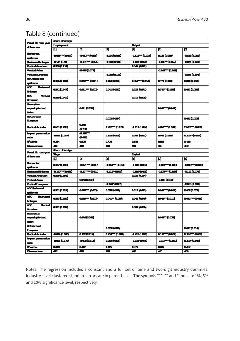| Panel B: two-year                       | <b>Sun offerign</b>   |                  |                      |                      |                        |                 |  |  |  |
|-----------------------------------------|-----------------------|------------------|----------------------|----------------------|------------------------|-----------------|--|--|--|
|                                         | Employment            |                  |                      | Output               |                        |                 |  |  |  |
| diferences                              | Щ                     | [2]              | o                    | O                    | 図                      | н               |  |  |  |
| <b>Horizontal</b>                       | - <b>001FT-0.0</b> 17 | -1.012 - 10.008  | -0.005 (0.020)       | -112577 (1.024)      | <b>DISP (0.000)</b>    | 0.028 (0.085)   |  |  |  |
| qilaan                                  |                       |                  |                      |                      |                        |                 |  |  |  |
| <b>Besignered Entregen</b>              | -0145的耳               | -1151 = (1025)   | -0.128 (0.100)       | -1.038 (0.072)       | 4.30 位以前               | 0.001 (0.104)   |  |  |  |
| <b><i><u>Vertical American</u></i></b>  | 0.005 (0.1 M)         |                  |                      | 0.048 (0.002)        |                        |                 |  |  |  |
| Vertical Asian                          |                       | 41.069 (10.076)  |                      |                      | -0.162 == (0.062)      |                 |  |  |  |
| <b><i>Vartical European</i></b>         |                       |                  | -10600137            |                      |                        | -0.063 (0.100)  |  |  |  |
| <b>ABO Incomedial</b>                   | 0.005 (0.004)         | 0.011FT (0.011)  | <b>0.004 (0.012)</b> | <b>0061 m 0000</b>   | <b>0.128 (0.00)</b>    | 10 DESP         |  |  |  |
| qilovm                                  |                       |                  |                      |                      |                        |                 |  |  |  |
| ABC.<br><b>Bestored</b>                 | 0000 (0017)           | 0071-000         | 0.001 (0.032)        | 0.029 (0.041)        | <b>DSLT</b> (0.11)     | 1011 <b>hav</b> |  |  |  |
| موعاظ                                   |                       |                  |                      |                      |                        |                 |  |  |  |
| ABC.<br>Vertical<br>Amariaan            | 0.010 (0.042)         |                  |                      | 0.010 (0.028)        |                        |                 |  |  |  |
| Managerican                             |                       |                  |                      |                      |                        |                 |  |  |  |
| especial de la contrad<br>ومشار         |                       | 0.011 (0.027)    |                      |                      | <b>002 - 0010</b>      |                 |  |  |  |
| <b>ABCULLER</b><br>Eventon              |                       |                  | D.CZZ (0.044)        |                      |                        | ams best-       |  |  |  |
| Herfondeld index                        | <b>0.EU (LCS)</b>     | 0.008<br>但理      | nzar— kıcıml         | -1.00141.624         | 480 CM                 | 2.675 = 0.680   |  |  |  |
| Impert penetration<br>ratio             | -0.050 (0.067)        | -1.1977<br>但000  | <b>0.103 (0.088)</b> | 0.007 (0.051)        | <b>00000000</b>        | 0.000 0.054     |  |  |  |
| l <sup>a</sup> vitin                    | 0.34                  | 0.50             | 0424                 | <b>D.San</b>         | D.EB1                  | 1,03            |  |  |  |
| <b>Channelism</b>                       | a.                    | 40               | 460                  | 43                   | 480                    | 460             |  |  |  |
|                                         | Swediady.             |                  |                      |                      |                        |                 |  |  |  |
| Panel B: two-year<br>differences        | Wee                   |                  |                      | المنبوت              |                        |                 |  |  |  |
|                                         | 凹                     | [2]              | p)                   | [I]                  | 2                      | н               |  |  |  |
| <b>Horizontal</b><br>spilovan           | 0.007 (0.068)         | -1071 - 0017     | 1004770.000          | -0.087 (0.06 C       | 化离产物质质                 | ama tama        |  |  |  |
| <b>Bestmend Entragen</b>                | <b>DROWN DOM:</b>     | $-0.127 = 0.021$ | -0.172" (0.DES)      | -0.109 (0.095)       | $4137 - 6007$          | 4111 (1970)     |  |  |  |
| <b>Vertical American</b>                | 0.000 (0.000)         |                  |                      | 0.020 (0.154)        |                        |                 |  |  |  |
| <b>Vertical Asian</b>                   |                       | 0.066 (0.108)    |                      |                      | 4.DB (1.050)           |                 |  |  |  |
| <b>Yartical European</b>                |                       |                  | -1.000° (0.061)      |                      |                        | -0.065 (0.060)  |  |  |  |
| <b>ABCHarizontal</b><br>spilovan        | 0.001 (0.022)         | 000 THE DATE     | <b>DOIN (OMIS)</b>   | 0.018 (0.022)        | <b>0.091 - (0.011)</b> | 1,000 (1) 0731  |  |  |  |
| ABC.<br><b>Bestored</b><br>مرحاظ        | 0.063 (0.066)         | 0.000 T (0.000)  | nou – (nne)          | <b>DOD (0.02)</b>    | <b>DOLL-10.0101</b>    | 1011 - 0.011    |  |  |  |
| ABC.<br><b>Martical</b><br>Anaian       | 0.000 (0.037)         |                  |                      | <b>0.007 (0.055)</b> |                        |                 |  |  |  |
| Managatiwa<br>expensity Members<br>مشار |                       | 004810069        |                      |                      | <b>DOW'T (0.0%)</b>    |                 |  |  |  |
| <b>ABCUtertimed</b><br>Eventon          |                       |                  | 0.023 (0.020)        |                      |                        | 1017 <b>hav</b> |  |  |  |
| Herionichi induc                        | -DOM (0.067)          | 0.102.01.21.00   | 023년 100대            | -1.523 (1.875)       | <b>D.L.F = (D.C.T)</b> | 1.197 1.000     |  |  |  |
| Import perceivation<br>nio              | -DOM (0.070)          | -1.090 (1.1.1)   | <b>DOCZ (OUES)</b>   | -0.000 (0.075)       | 0.218 == (0.060)       | 1.100° (1.063)  |  |  |  |
| l <sup>a</sup> nitis                    | 0.363                 | 0.812            | 047                  | <b>DS77</b>          | <b>D.G.M.</b>          | 1.452           |  |  |  |
| <b>Channelism</b>                       | 4.                    | 40               | 490                  | 490                  | 480                    | 460             |  |  |  |

### Table 8 (continued)

Notes: The regression includes a constant and a full set of time and two-digit industry dummies. Industry-level clustered standard errors are in parentheses. The symbols \*\*\*, \*\* and \* indicate 1%, 5% and 10% significance level, respectively.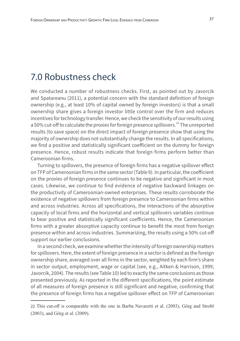## 7.0 Robustness check

We conducted a number of robustness checks. First, as pointed out by Javorcik and Spatareanu (2011), a potential concern with the standard definition of foreign ownership (e.g., at least 10% of capital owned by foreign investors) is that a small ownership share gives a foreign investor little control over the firm and reduces incentives for technology transfer. Hence, we check the sensitivity of our results using a 50% cut-off to calculate the proxies for foreign presence spillovers.<sup>22</sup> The unreported results (to save space) on the direct impact of foreign presence show that using the majority of ownership does not substantially change the results. In all specifications, we find a positive and statistically significant coefficient on the dummy for foreign presence. Hence, robust results indicate that foreign firms perform better than Cameroonian firms.

Turning to spillovers, the presence of foreign firms has a negative spillover effect on TFP of Cameroonian firms in the same sector (Table 9). In particular, the coefficient on the proxies of foreign presence continues to be negative and significant in most cases. Likewise, we continue to find evidence of negative backward linkages on the productivity of Cameroonian-owned enterprises. These results corroborate the existence of negative spillovers from foreign presence to Cameroonian firms within and across industries. Across all specifications, the interactions of the absorptive capacity of local firms and the horizontal and vertical spillovers variables continue to bear positive and statistically significant coefficients. Hence, the Cameroonian firms with a greater absorptive capacity continue to benefit the most from foreign presence within and across industries. Summarizing, the results using a 50% cut-off support our earlier conclusions.

In a second check, we examine whether the intensity of foreign ownership matters for spillovers. Here, the extent of foreign presence in a sector is defined as the foreign ownership share, averaged over all firms in the sector, weighted by each firm's share in sector output, employment, wage or capital (see, e.g., Aitken & Harrison, 1999; Javorcik, 2004). The results (see Table 10) led to exactly the same conclusions as those presented previously. As reported in the different specifications, the point estimate of all measures of foreign presence is still significant and negative, confirming that the presence of foreign firms has a negative spillover effect on TFP of Cameroonian

<sup>22</sup> This cut-off is comparable with the one in Barba Navaretti et al. (2003), Görg and Strobl (2003), and Görg et al. (2009).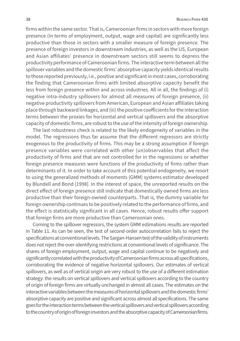firms within the same sector. That is, Cameroonian firms in sectors with more foreign presence (in terms of employment, output, wage and capital) are significantly less productive than those in sectors with a smaller measure of foreign presence. The presence of foreign investors in downstream industries, as well as the US, European and Asian affiliates' presence in downstream sectors still seems to depress the productivity performance of Cameroonian firms. The interactive term between all the spillover variables and the domestic firms' absorptive capacity yields identical results to those reported previously, i.e., positive and significant in most cases, corroborating the finding that Cameroonian firms with limited absorptive capacity benefit the less from foreign presence within and across industries. All in all, the findings of (i) negative intra-industry spillovers for almost all measures of foreign presence, (ii) negative productivity spillovers from American, European and Asian affiliates taking place through backward linkages, and (iii) the positive coefficients for the interaction terms between the proxies for horizontal and vertical spillovers and the absorptive capacity of domestic firms, are robust to the use of the intensity of foreign ownership.

The last robustness check is related to the likely endogeneity of variables in the model. The regressions thus far assume that the different regressors are strictly exogenous to the productivity of firms. This may be a strong assumption if foreign presence variables were correlated with other (un)observables that affect the productivity of firms and that are not controlled for in the regressions or whether foreign presence measures were functions of the productivity of firms rather than determinants of it. In order to take account of this potential endogeneity, we resort to using the generalized methods of moments (GMM) systems estimator developed by Blundell and Bond (1998). In the interest of space, the unreported results on the direct effect of foreign presence still indicate that domestically owned firms are less productive than their foreign-owned counterparts. That is, the dummy variable for foreign ownership continues to be positively related to the performance of firms, and the effect is statistically significant in all cases. Hence, robust results offer support that foreign firms are more productive than Cameroonian ones.

Coming to the spillover regressors, the system GMM estimations results are reported in Table 11. As can be seen, the test of second-order autocorrelation fails to reject the specifications at conventional levels. The Sargan-Hansen test of the validity of instruments does not reject the over-identifying restrictions at conventional levels of significance. The shares of foreign employment, output, wage and capital continue to be negatively and significantly correlated with the productivity of Cameroonian firms across all specifications, corroborating the evidence of negative horizontal spillovers. Our estimates of vertical spillovers, as well as of vertical origin are very robust to the use of a different estimation strategy: the results on vertical spillovers and vertical spillovers according to the country of origin of foreign firms are virtually unchanged in almost all cases. The estimates on the interactive variables between the measures of horizontal spillovers and the domestic firms' absorptive capacity are positive and significant across almost all specifications. The same goes for the interaction terms between the vertical spillovers and vertical spillovers according to the country of origin of foreign investors and the absorptive capacity of Cameroonian firms.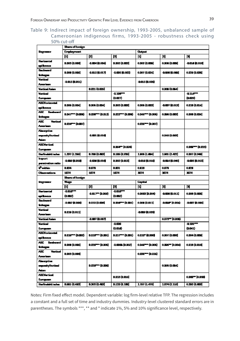#### Table 9: Indirect impact of foreign ownership, 1993-2005, unbalanced sample of Cameroonian indigenous firms, 1993-2005 - robustness check using 50% cut-off

|                              | Share of foreign                |                          |                                     |                       |                       |                                |  |  |  |
|------------------------------|---------------------------------|--------------------------|-------------------------------------|-----------------------|-----------------------|--------------------------------|--|--|--|
| Progressor                   | <b>Employment</b>               |                          |                                     | <b>Chatract</b>       |                       |                                |  |  |  |
|                              | [1]                             | 2                        | Ы                                   | 14                    | 14                    | н                              |  |  |  |
| <b>Herizentel</b>            | <b>D.DOS (0.006)</b>            | -0.004 (0.004)           | 0.002 (0.003)                       | 0.002 (0.000)         | 0.000 (0.000)         | 2014 (2016)                    |  |  |  |
| spillovecn                   |                                 |                          |                                     |                       |                       |                                |  |  |  |
| <b>Beatward</b>              |                                 |                          |                                     |                       | -0.080 (0.090)        |                                |  |  |  |
| integra                      | <b>D.DOG (0.006)</b>            | -a.cns (a.cn7)           | -0.006 (0.002)                      | 0.007 (0.024)         |                       | 0.029(0.028)                   |  |  |  |
| Vertical                     |                                 |                          |                                     |                       |                       |                                |  |  |  |
| American                     | -a.ciis (a.dii)                 |                          |                                     | -DO13 (0.026)         |                       |                                |  |  |  |
| <b>Vartical Asian</b>        |                                 | 0.021 (1.026)            |                                     |                       | 0.000 (1.054)         |                                |  |  |  |
| Vertical                     |                                 |                          | $-1.10$ and $-1.10$                 |                       |                       | $-0.11$ $T$                    |  |  |  |
| European                     |                                 |                          | $(n\alpha n)$                       |                       |                       | 位型外                            |  |  |  |
| <b>ABCHorizontal</b>         |                                 |                          |                                     |                       |                       |                                |  |  |  |
| sikwa                        | D.DOG (0.004)                   | D.DOG (0.004)            | 0.003 (0.003)                       | 0.005 (0.003)         | -0.007 (0.013)        | 0.010 (0.014)                  |  |  |  |
| ABC Resburnt                 |                                 |                          |                                     |                       |                       |                                |  |  |  |
| integes                      | <b>D.MT** (D.D.G)</b>           | <b>DISP + DILLY</b>      | 0.027 ** (0.000)                    | 0.045 - 0.005         | 0.000 (1.003)         | 0.000 (0.024)                  |  |  |  |
| ABC.<br>Vertical             |                                 |                          |                                     |                       |                       |                                |  |  |  |
| American                     | እመም የመን                         |                          |                                     | 0.025 ** (0.007)      |                       |                                |  |  |  |
| Aleceptive                   |                                 |                          |                                     |                       |                       |                                |  |  |  |
| ampermit y Venticon I        |                                 | -a.com (a.one)           |                                     |                       | 0.048 (0.065)         |                                |  |  |  |
| Asian I                      |                                 |                          |                                     |                       |                       |                                |  |  |  |
| <b>ABLY</b> article          |                                 |                          |                                     |                       |                       |                                |  |  |  |
| European                     |                                 |                          | 0.06477 (0.024)                     |                       |                       | 0.000 - (0.023)                |  |  |  |
| Herfinaldd i adex            | 1.337 (1.256)                   | D.789 (D.883)            | 0.185 (1.935)                       | 1.805 (1.804)         | 1161 (2422)           | 0.007 (0.940)                  |  |  |  |
| hapart                       | -1.009 (1.010)                  | -1.024 (1.016)           | 0.002 (0.013)                       | -0010 (0.016)         | -0.054 (0.040)        | -0.006 (0.013)                 |  |  |  |
| personation ratio            |                                 |                          |                                     |                       |                       |                                |  |  |  |
|                              |                                 |                          |                                     |                       |                       |                                |  |  |  |
| Pethin                       | 0.54                            | D. D.T                   | D ES1                               | 0.115                 | 0.171                 | 0 DI                           |  |  |  |
| <b>Observations</b>          | 1074                            | 1074                     | 1074                                | XIV.                  | 3074                  | 3074                           |  |  |  |
|                              | Share of foreign                |                          |                                     |                       |                       |                                |  |  |  |
| <b>Registration</b>          | <b>They</b>                     |                          |                                     | احتجت                 |                       |                                |  |  |  |
|                              | [1]                             | [2]                      | Ы                                   | 14                    | 14                    | н                              |  |  |  |
| <b>Herizentel</b>            | $-0.0102$                       |                          | -0.010 ***                          |                       |                       |                                |  |  |  |
| sikwa                        | 但四处                             | <b>-1.017 ** (0.009)</b> | 但四处                                 | 0.0003 0.000          | -0.000 (0.011)        | 0.000 (0.000)                  |  |  |  |
| <b>Beatward</b>              |                                 |                          |                                     |                       |                       |                                |  |  |  |
| <b>Entrepre</b>              | -1,002 (0,008)                  | 0.010 (0.006)            | 0.000 *** (0.001)                   | 0.000 (0.011)         | <b>-doine (0.034)</b> | -0.007 (0.005)                 |  |  |  |
| Vertical                     |                                 |                          |                                     |                       |                       |                                |  |  |  |
| American                     | <b>D.B.IE (B.O11)</b>           |                          |                                     | -0.009 (0.020)        |                       |                                |  |  |  |
| <b>Vartical Asian</b>        |                                 | -1.007 (1.007)           |                                     |                       | 0.073 - 10.050        |                                |  |  |  |
| Varional                     |                                 |                          | -1,020                              |                       |                       | $-0.101$                       |  |  |  |
| European                     |                                 |                          | 但如此                                 |                       |                       | (0.041)                        |  |  |  |
| <b>ABC Horizontal</b>        |                                 |                          |                                     |                       |                       |                                |  |  |  |
| şibes                        | <b>DALE<sup>T+</sup> (DADZ)</b> | <b>DALIFT* (DADI)</b>    | 0.017 *** (0.001)                   | <b>0.010" (0.008)</b> | 0.007 (0.008)         | 0.004 (0.000)                  |  |  |  |
| ABC.<br>Bestward             |                                 |                          |                                     |                       |                       |                                |  |  |  |
| intege                       | <b>D.DOG (0.006)</b>            | <b>D.ITS -- (D.DOG)</b>  | -1,0005 (0,002)                     | 0.048-10.005          | 0.006 = 0.060         | 0.018 (0.016)                  |  |  |  |
| ABC.<br>Vertical             |                                 |                          |                                     |                       |                       |                                |  |  |  |
| American                     | <b>D.DOS (0.006)</b>            |                          |                                     | 0.ESS=+ (D.B.LS)      |                       |                                |  |  |  |
| Aleceptive                   |                                 |                          |                                     |                       |                       |                                |  |  |  |
| aman'ny faritra i            |                                 | 0.022"*** (0.000)        |                                     |                       | 0.065 (0.054)         |                                |  |  |  |
| مفا                          |                                 |                          |                                     |                       |                       |                                |  |  |  |
| <b>ABLY</b> article          |                                 |                          |                                     |                       |                       |                                |  |  |  |
| European<br>Herfinald Linder | <b>D.SR1 (1.483)</b>            | 0.303 (1.483)            | <b>DALT (LAIG)</b><br>D.120 (D.188) | 1.767 (1.470)         | 1.874 (2.110)         | 0.000 - 0.000<br>0.202 (0.805) |  |  |  |

Notes: Firm fixed effect model. Dependent variable: log firm-level relative TFP. The regression includes a constant and a full set of time and industry dummies. Industry-level clustered standard errors are in parentheses. The symbols \*\*\*, \*\* and \* indicate 1%, 5% and 10% significance level, respectively.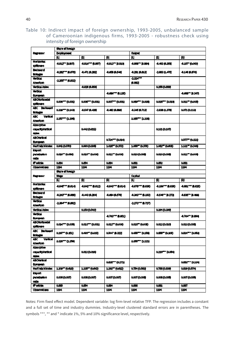Table 10: Indirect impact of foreign ownership, 1993-2005, unbalanced sample of Cameroonian indigenous firms, 1993-2005 - robustness check using intensity of foreign ownership

|                                                       | than of foreign   |                  |                      |                   |                             |                  |  |  |  |  |
|-------------------------------------------------------|-------------------|------------------|----------------------|-------------------|-----------------------------|------------------|--|--|--|--|
| Regressor                                             | Employment        |                  |                      | <b>Culput</b>     |                             |                  |  |  |  |  |
|                                                       | p.                | <b>PI</b>        | ß)                   | 叫                 | A                           | 刚                |  |  |  |  |
| Horizonial<br><b>SDRAW-1</b>                          | 4.012" (0.007)    | 4.015*** 0.007)  | 4.413** (0.010)      | 4,003 ** (3,994)  | 4.403 (0.358)               | 4,107*0,003)     |  |  |  |  |
| <b>Beckward</b>                                       | 4.262 - 10.079)   | 4,471,00.2021    | 4,68,85,40           | 4211 (4813)       | <b>2.003 (LATS)</b>         | 4141474          |  |  |  |  |
| <b>Universit</b><br><b>Listendo</b>                   |                   |                  |                      | $2.324***$        |                             |                  |  |  |  |  |
| American                                              | 2.255*** (0.832)  |                  |                      | 8.002             |                             |                  |  |  |  |  |
| Vertical Asian                                        |                   | 4,020 (0.050)    |                      |                   | 0.155 (0.559)               |                  |  |  |  |  |
| <b>Martinel</b><br><b>CURCULARITY</b>                 |                   |                  | 4.465°° (0.135)      |                   |                             | 4,400 (0.347)    |  |  |  |  |
| <b>ABCHorocetel</b><br>\$DROVE 1                      | 0.000 *** (0.000) | 0.006*** (0.001) | 0.007*** (0.001)     | 0.069 - 0.038     | 0.005 <sup>--</sup> 10.010) | 0.001 = 0.005    |  |  |  |  |
| ABC Backward<br><b>Militages</b>                      | 0.330*** (0.140)  | 4.547 (0.428)    | 4.42 0.000           | 4.345 (0.713)     | -2.438.11.3781              | 0.0TL (0.113)    |  |  |  |  |
| Vertical<br>ABC.<br>American                          | 3.257*** (1.200)  |                  |                      | 3.355 - 0.235)    |                             |                  |  |  |  |  |
| <b>Absorptive</b><br>capacity/artical<br><b>Asian</b> |                   | 0.442 (0.612)    |                      |                   | 0.131 (0.10T)               |                  |  |  |  |  |
| <b>ABO/entical</b><br><b>European</b>                 |                   |                  | 0.T34*** (0.034)     |                   |                             | 0.5TT= (0.121)   |  |  |  |  |
| <b>Herindahlindex</b>                                 | 0.942 (0.570)     | 0.000 (0.000)    | 1.035 (0.573)        | 1,055 (0,570)     | 1.052 (0.000)               | 1.131 0.549      |  |  |  |  |
| <b>Import</b><br>pendualion<br>ratio                  | 0.030 - (0.030)   | 0.000 - 0.000    | 0.011 = (0.008)      | 0.000 (0.000)     | 0.000 (0.000)               | 0.011 10.000     |  |  |  |  |
| <b>Renation</b>                                       | 0.854             | 0.054            | 0.034                | 0.881             | 0.02                        |                  |  |  |  |  |
| Observed ees                                          | 11.1              | 1194             | 1104                 | 1194              | 1174                        | 0.051<br>1104    |  |  |  |  |
|                                                       | share of foreign  |                  |                      |                   |                             |                  |  |  |  |  |
|                                                       |                   |                  |                      |                   |                             |                  |  |  |  |  |
| <b>Replies:</b>                                       |                   |                  |                      |                   |                             |                  |  |  |  |  |
|                                                       | Wego<br>ш         | п                | R)                   | Capital<br>叫      | 2                           | R)               |  |  |  |  |
| Horizonial                                            | 446 - 244         | 4.44*** RAI2)    | 4A43°° BALQ          | -0.076*** (0.030) | 4.106*** (0.030)            | 4.001*** (1.025) |  |  |  |  |
| <b>10-NOVE 1</b><br>Onchward                          | 4.243 0.466)      | 4,443 (0.204)    | 4.444 (0.570)        | -0.303*** (0.103) | 4.541 (1.272)               | 4,435" (8-444)   |  |  |  |  |
| <b>Malager</b><br><b>HITCH</b><br>Amarican            | 2.304 - 10.002)   |                  |                      | -2.273*** (0.727) |                             |                  |  |  |  |  |
| <b>Vertical Ation</b>                                 |                   | 0.150 (0.143)    |                      |                   | 0.391 (0.399)               |                  |  |  |  |  |
| <b>MITTEN!</b>                                        |                   |                  | 4.763*** (0.001)     |                   |                             | 4, 64" (1.194    |  |  |  |  |
| European.<br><b>ABCHOTOMOR</b>                        | 0.004 *** (0.005) | 0.013 - 0.001)   | 0.012 10.000         | 0.015 0.000)      | 0.012 (0.010)               | 0.013 (0.003)    |  |  |  |  |
| <b>SDROVE 1</b><br>ABC Beckward                       | 0.297** (0.151)   | 0.400 0.033)     | 0.044 (0.322)        | 0.455 0.155)      | 0.000 0.100                 | 0.834 0.053      |  |  |  |  |
| <b>Makager</b><br>ABC.<br>Vertical                    | 3.333 T (1.200)   |                  |                      | 3.355 - (1.121)   |                             |                  |  |  |  |  |
| Allenican<br>Absorptive                               |                   |                  |                      |                   |                             |                  |  |  |  |  |
| capacity//artical                                     |                   | 0.012 (0.018)    |                      |                   | 0.220 - 0.054               |                  |  |  |  |  |
| Atim<br><b>ABOVertical</b>                            |                   |                  |                      |                   |                             |                  |  |  |  |  |
| <b>European</b>                                       |                   |                  | 0.888°°C (0.1T1)     |                   |                             | 0.888 T (0.184)  |  |  |  |  |
| Herindahilindex                                       | 1.200 0.010       | 1.235" (0.643)   | 1.202" (0.622)       | 0.134 (0.552)     | 0.788 (0.509)               | 0.539 (0.574)    |  |  |  |  |
| <b>Import</b><br>pensionion                           | 0.006 (0.007)     | 0.006 (0.007)    | <b>0.007 (0.007)</b> | 0.00760.009       | 0.006 (0.008)               | 0.00760.0001     |  |  |  |  |
| ratio<br><b>Reading</b>                               | 0.005             | 0.054            | 0.034                | 0.005             | 0.551                       | 0.057            |  |  |  |  |

Notes: Firm fixed effect model. Dependent variable: log firm-level relative TFP. The regression includes a constant and a full set of time and industry dummies. Industry-level clustered standard errors are in parentheses. The symbols \*\*\*, \*\* and \* indicate 1%, 5% and 10% significance level, respectively.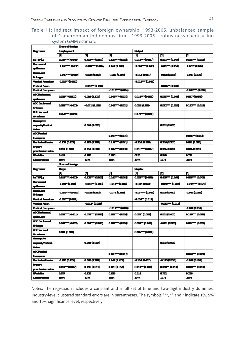#### Table 11: Indirect impact of foreign ownership, 1993-2005, unbalanced sample of Cameroonian indigenous firms, 1993-2005 - robustness check using system GMM estimator

|                                            | Shan of foreign                   |                  |                       |                                   |                      |                     |  |  |  |  |
|--------------------------------------------|-----------------------------------|------------------|-----------------------|-----------------------------------|----------------------|---------------------|--|--|--|--|
| n <sub>groma</sub>                         | Employment                        |                  |                       | <b>Christian Company</b>          |                      |                     |  |  |  |  |
|                                            | [1]                               | и                | М                     | $\begin{bmatrix} 1 \end{bmatrix}$ | И                    | ы                   |  |  |  |  |
| ылны                                       | 02a - 000                         | 0.62 = (0.61)    | 0.8877 (1.021)        | 0.213 - 0.037)                    | 0.622*** (0.048)     | 0.523 = (0.003)     |  |  |  |  |
| <u>Herizontal</u>                          |                                   |                  |                       |                                   |                      |                     |  |  |  |  |
| qilovan                                    | -1.015 = 0.002                    | $-0.003 - 0.004$ | 007 (116)             | -1.025 = 0.034                    | -0.037* (0.014)      | -1.025° (1.014)     |  |  |  |  |
| Bestawad                                   |                                   |                  |                       |                                   |                      |                     |  |  |  |  |
| موعلظ                                      | -1019-10.000                      | -0.008.(0.013)   | -0.0006 (0.008)       | -1.014 (1.01)                     | -0.0008 (0.013)      | -1.017 (1.121)      |  |  |  |  |
| <b><i>Vertical American</i></b>            | -1.025** (0.012)                  |                  |                       | -1027 - 0.011                     |                      |                     |  |  |  |  |
| Vertical Asian                             |                                   | -0.015 = 0.010   |                       |                                   | -0.015 = 0.000       |                     |  |  |  |  |
| <b>Vertical European</b>                   |                                   |                  | -0.010 *** 10.004)    |                                   |                      | $-0.014 = 0.000$    |  |  |  |  |
| ABC Harizontal                             |                                   |                  |                       |                                   |                      |                     |  |  |  |  |
| qilovan                                    | nazi™ (ami)                       | ama (a. 121)     | a.Dur=" (a.D01)       | 0014T (0011)                      | 0.06377 (0.001)      | <b>OATT DOW</b>     |  |  |  |  |
| <b>ABC Bedovered</b>                       |                                   |                  |                       |                                   |                      |                     |  |  |  |  |
| موطئا                                      | <b>DOM: 10000</b>                 | -0.071 (0.129)   | a.DOZ== (a.DO1)       | 0.001 (0.000)                     | 0.027 (1.07)         | 0.123 - 0.011)      |  |  |  |  |
| <b>ABC Verticed</b>                        |                                   |                  |                       |                                   |                      |                     |  |  |  |  |
| Amailan                                    | 025FT 0000                        |                  |                       | agrees (octo)                     |                      |                     |  |  |  |  |
|                                            |                                   |                  |                       |                                   |                      |                     |  |  |  |  |
| <b><i>Photography</i></b>                  |                                   |                  |                       |                                   |                      |                     |  |  |  |  |
| especity Vertical<br>۸                     |                                   | a.DO1 (11.002)   |                       |                                   | a.DO1 (11.002)       |                     |  |  |  |  |
| <b>ABC Vertical</b>                        |                                   |                  |                       |                                   |                      |                     |  |  |  |  |
|                                            |                                   |                  | a.DOS== (a.DO1)       |                                   |                      | $0.035 - (0.014)$   |  |  |  |  |
| Eventon                                    |                                   |                  |                       |                                   |                      |                     |  |  |  |  |
| Herfindeld index                           | -1231 (1421)                      | 0.182 (0.785)    | 0.110 T (0.011)       | -1210 (1350)                      | 0.206 0.337          | 0.51 (1.51)         |  |  |  |  |
| <b>Impart</b><br>pastraien raio            | <b>D.CL1 (0.DDF)</b>              | 0.004 (1.005)    | amr= (acod            | 0.010 - 10.007)                   | 0.006 (0.008)        | 0.005 (0.020)       |  |  |  |  |
| P sitio                                    | 0417                              | a. तस            | Q.1RS                 | Œ                                 | ŒÐ                   | 0.711               |  |  |  |  |
| <u> Chanaism</u>                           | 1074                              | 1974             | 1974                  | 10T4                              | 1974                 | 工件                  |  |  |  |  |
|                                            |                                   |                  |                       |                                   |                      |                     |  |  |  |  |
|                                            | Shan of foreign                   |                  |                       |                                   |                      |                     |  |  |  |  |
|                                            | - -                               |                  |                       |                                   |                      |                     |  |  |  |  |
| مسدوعة                                     | $\begin{bmatrix} 1 \end{bmatrix}$ | и                | м                     | لحفيت<br>$\boxed{1}$              | и                    | p.                  |  |  |  |  |
| <b>Interface</b>                           | <b>DELETT 100000</b>              | 0.7377 (0.050)   | 0.337° (0.015)        | 0.507 0.00)                       | 0.07 (1051)          | $0.55 - 0.02$       |  |  |  |  |
| Horizontal.                                |                                   |                  |                       |                                   |                      |                     |  |  |  |  |
|                                            | -1.00F (1.004)                    | -0.016 = 0.009   | -0.011-0.000          | -1.002 (1.000)                    | -0.037° (0.037)      | -1215 - (1021)      |  |  |  |  |
| qilovan<br><b>Businessed</b>               |                                   |                  |                       |                                   |                      |                     |  |  |  |  |
|                                            | -1.055 - 0.015                    | -0.0008.(0.013)  | -0.071.(0.102)        | $-0.037 - 0.015$                  | 0.005 0.012          | $-0.065$ (0.000)    |  |  |  |  |
| موعاظ<br>Vertical American                 | -1.034° (0.011)                   |                  |                       | -1.020 0.011)                     |                      |                     |  |  |  |  |
| Yertical Asian                             |                                   | -0.013* (D.COM)  |                       |                                   | -0.STF" (0.D11)      |                     |  |  |  |  |
|                                            |                                   |                  | -0.014 TH (0.006)     |                                   |                      | -1.014 D.014        |  |  |  |  |
| Yertical European<br><b>ABC Incinental</b> |                                   |                  |                       |                                   |                      |                     |  |  |  |  |
|                                            | nas – pan                         | any tanà         | فمن - من              | aany (non)                        | 0.001 (0.002)        | 01677 (022)         |  |  |  |  |
| qilovan<br><b>ABC Bedovered</b>            |                                   |                  |                       |                                   |                      |                     |  |  |  |  |
|                                            | <b>nou - 1000)</b>                | ama ama          | ans - and             | 0.000 (0.000)                     | -0.0011.(0.003)      | 0.007 THE D.000 D.  |  |  |  |  |
| حوطط                                       |                                   |                  |                       |                                   |                      |                     |  |  |  |  |
| <b>ABC Verticed</b><br>Amaiam              | <b>0.001 (0.002)</b>              |                  |                       | 0.0007700020                      |                      |                     |  |  |  |  |
|                                            |                                   |                  |                       |                                   |                      |                     |  |  |  |  |
| Muurptiva                                  |                                   |                  |                       |                                   |                      |                     |  |  |  |  |
| españy Yeriod                              |                                   | a.DO1 (11.002)   |                       |                                   | 0.002 (0.023)        |                     |  |  |  |  |
|                                            |                                   |                  |                       |                                   |                      |                     |  |  |  |  |
| ABCUtational                               |                                   |                  | ad <del>ar</del> (am) |                                   |                      | 0.074 m (0.023)     |  |  |  |  |
| Eventon                                    |                                   |                  |                       |                                   |                      |                     |  |  |  |  |
| Herfindeld index                           | -1130 0.425                       | 4.062 (3.200)    | <b>110 (1023)</b>     | -1.534 (0.407)                    | -0115 (1.73)         | 4000 0.750          |  |  |  |  |
| <b>Import</b>                              | 0.012" (0.007)                    | amo/a.011)       | 0.008 0.014           | 0.013" (0.007)                    | amr pas              | 0.023 - 2000)       |  |  |  |  |
| passindien ratio                           |                                   |                  |                       |                                   |                      |                     |  |  |  |  |
| l'aitis<br><u> Change is an</u>            | ᇚ<br>1074                         | யக<br>1974       | œ<br>1974             | 0.514<br><b>MT4</b>               | <b>0.751</b><br>1974 | 0.236<br><b>MTA</b> |  |  |  |  |

Notes: The regression includes a constant and a full set of time and two-digit industry dummies. Industry-level clustered standard errors are in parentheses. The symbols \*\*\*, \*\* and \* indicate 1%, 5% and 10% significance level, respectively.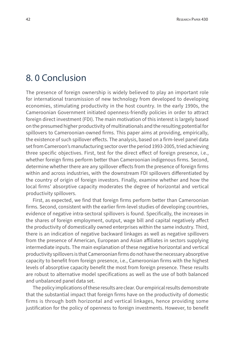### 8. 0 Conclusion

The presence of foreign ownership is widely believed to play an important role for international transmission of new technology from developed to developing economies, stimulating productivity in the host country. In the early 1990s, the Cameroonian Government initiated openness-friendly policies in order to attract foreign direct investment (FDI). The main motivation of this interest is largely based on the presumed higher productivity of multinationals and the resulting potential for spillovers to Cameroonian-owned firms. This paper aims at providing, empirically, the existence of such spillover effects. The analysis, based on a firm-level panel data set from Cameroon's manufacturing sector over the period 1993-2005, tried achieving three specific objectives. First, test for the direct effect of foreign presence, i.e., whether foreign firms perform better than Cameroonian indigenous firms. Second, determine whether there are any spillover effects from the presence of foreign firms within and across industries, with the downstream FDI spillovers differentiated by the country of origin of foreign investors. Finally, examine whether and how the local firms' absorptive capacity moderates the degree of horizontal and vertical productivity spillovers.

First, as expected, we find that foreign firms perform better than Cameroonian firms. Second, consistent with the earlier firm-level studies of developing countries, evidence of negative intra-sectoral spillovers is found. Specifically, the increases in the shares of foreign employment, output, wage bill and capital negatively affect the productivity of domestically owned enterprises within the same industry. Third, there is an indication of negative backward linkages as well as negative spillovers from the presence of American, European and Asian affiliates in sectors supplying intermediate inputs. The main explanation of these negative horizontal and vertical productivity spillovers is that Cameroonian firms do not have the necessary absorptive capacity to benefit from foreign presence, i.e., Cameroonian firms with the highest levels of absorptive capacity benefit the most from foreign presence. These results are robust to alternative model specifications as well as the use of both balanced and unbalanced panel data set.

The policy implications of these results are clear. Our empirical results demonstrate that the substantial impact that foreign firms have on the productivity of domestic firms is through both horizontal and vertical linkages, hence providing some justification for the policy of openness to foreign investments. However, to benefit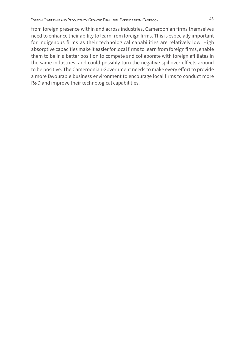from foreign presence within and across industries, Cameroonian firms themselves need to enhance their ability to learn from foreign firms. This is especially important for indigenous firms as their technological capabilities are relatively low. High absorptive capacities make it easier for local firms to learn from foreign firms, enable them to be in a better position to compete and collaborate with foreign affiliates in the same industries, and could possibly turn the negative spillover effects around to be positive. The Cameroonian Government needs to make every effort to provide a more favourable business environment to encourage local firms to conduct more R&D and improve their technological capabilities.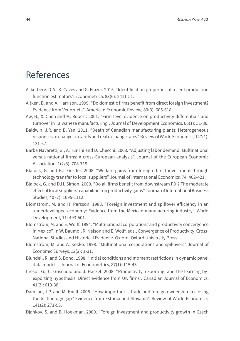### References

- Ackerberg, D.A., K. Caves and G. Frazer. 2015. "Identification properties of recent production function estimators". Econometrica, 83(6): 2411-51.
- Aitken, B. and A. Harrison. 1999. "Do domestic firms benefit from direct foreign investment? Evidence from Venezuela". American Economic Review, 89(3): 605-618.
- Aw, B., X. Chen and M. Robert. 2001. "Firm-level evidence on productivity differentials and turnover in Taiwanese manufacturing". Journal of Development Economics, 66(1): 51-86.
- Baldwin, J.R. and B. Yan. 2011. "Death of Canadian manufacturing plants: Heterogeneous responses to changes in tariffs and real exchange rates". Review of World Economics, 147(1): 131-67.
- Barba Navaretti, G., A. Turrini and D. Checchi. 2003. "Adjusting labor demand. Multinational versus national firms: A cross-European analysis". Journal of the European Economic Association, 1(2/3): 708-719.
- Blalock, G. and P.J. Gertler. 2008. "Welfare gains from foreign direct investment through technology transfer to local suppliers". Journal of International Economics, 74: 402-421.
- Blalock, G. and D.H. Simon. 2009. "Do all firms benefit from downstream FDI? The moderate effect of local suppliers' capabilities on productivity gains". Journal of International Business Studies, 40 (7): 1095-1112.
- Blomström, M. and H. Persson. 1983. "Foreign investment and spillover efficiency in an underdeveloped economy: Evidence from the Mexican manufacturing industry". World Development, 11: 493-501.
- Blomström, M. and E. Wolff. 1994. "Multinational corporations and productivity convergence in Mexico". In W. Baumol, R. Nelson and E. Wolff, eds., Convergence of Productivity: Cross-National Studies and Historical Evidence. Oxford: Oxford University Press.
- Blomström, M. and A. Kokko. 1998. "Multinational corporations and spillovers". Journal of Economic Surveys, 12(2): 1-31.
- Blundell, R. and S. Bond. 1998. "Initial conditions and moment restrictions in dynamic panel data models". Journal of Econometrics, 87(1): 115-43.
- Crespi, G., C. Griscuolo and J. Haskel. 2008. "Productivity, exporting, and the learning-byexporting hypothesis: Direct evidence from UK firms". Canadian Journal of Economics, 41(2): 619-38.
- Damijan, J.P. and M. Knell. 2005. "How important is trade and foreign ownership in closing the technology gap? Evidence from Estonia and Slovania". Review of World Economics, 141(2): 271-95.
- Djankov, S. and B. Hoekman. 2000. "Foreign investment and productivity growth in Czech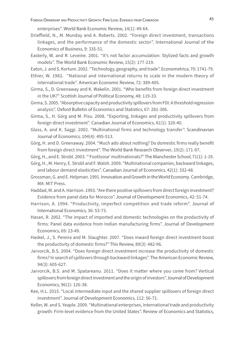enterprises". World Bank Economic Review, 14(1): 49-64.

- Drieffield, N., M. Munday and A. Roberts. 2002. "Foreign direct investment, transactions linkages, and the performance of the domestic sector". International Journal of the Economics of Business, 9: 335-51.
- Easterly, W. and R. Leveine. 2001. "It's not factor accumulation: Stylized facts and growth models". The World Bank Economic Review, 15(2): 177-219.

Eaton, J. and S. Kortum. 2002. "Technology, geography, and trade". Econometrica, 70: 1741-79.

- Ethier, W. 1982. "National and international returns to scale in the modern theory of international trade". American Economic Review, 72: 389-405.
- Girma, S., D. Greenaway and K. Wakelin. 2001. "Who benefits from foreign direct investment in the UK?" Scottish Journal of Political Economy, 48: 119-33.
- Girma, S. 2005. "Absorptive capacity and productivity spillovers from FDI: A threshold regression analysis". Oxford Bulletin of Economics and Statistics, 67: 281-306.
- Girma, S., H. Görg and M. Pisu. 2008. "Exporting, linkages and productivity spillovers from foreign direct investment". Canadian Journal of Economics, 41(1): 320-40.
- Glass, A. and K. Saggi. 2002. "Multinational firms and technology transfer". Scandinavian Journal of Economics, 104(4): 495-513.
- Görg, H. and D. Greenaway. 2004. "Much ado about nothing? Do domestic firms really benefit from foreign direct investment". The World Bank Research Observer, 19(2): 171-97.
- Görg, H., and E. Strobl. 2003. "'Footloose' multinationals?" The Manchester School, 71(1): 1-19.
- Görg, H., M. Henry, E. Strobl and F. Walsh. 2009. "Multinational companies, backward linkages, and labour demand elasticities". Canadian Journal of Economics, 42(1): 332-48.
- Grossman, G. and E. Helpman. 1991. Innovation and Growth in the World Economy. Cambridge, MA: MIT Press.
- Haddad, M. and A. Harrison. 1993. "Are there positive spillovers from direct foreign investment? Evidence from panel data for Morocco". Journal of Development Economics, 42: 51-74.
- Harrison, A. 1994. "Productivity, imperfect competition and trade reform". Journal of International Economics, 36: 53-73.
- Hasan, R. 2002. "The impact of imported and domestic technologies on the productivity of firms: Panel data evidence from Indian manufacturing firms". Journal of Development Economics, 69: 23-49.
- Haskel, J., S. Pereira and M. Slaughter. 2007. "Does inward foreign direct investment boost the productivity of domestic firms?" This Review, 89(3): 482-96.
- Jarvorcik, B.S. 2004. "Does foreign direct investment increase the productivity of domestic firms? In search of spillovers through backward linkages". The American Economic Review, 94(3): 605-627.
- Jarvorcik, B.S. and M. Spatareanu. 2011. "Does it matter where you come from? Vertical spillovers from foreign direct investment and the origin of investors". Journal of Development Economics, 96(1): 126-38.
- Kee, H.L. 2015. "Local intermediate input and the shared supplier spillovers of foreign direct investment". Journal of Development Economics, 112: 56-71.
- Keller, W. and S. Yeaple. 2009. "Multinational enterprises, international trade and productivity growth: Firm-level evidence from the United States". Review of Economics and Statistics,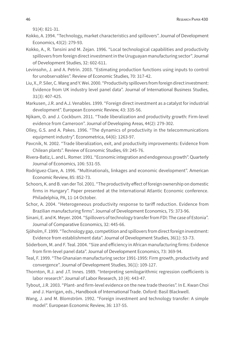91(4): 821-31.

- Kokko, A. 1994. "Technology, market characteristics and spillovers". Journal of Development Economics, 43(2): 279-93.
- Kokko, A., R. Tansini and M. Zejan. 1996. "Local technological capabilities and productivity spillovers from foreign direct investment in the Uruguayan manufacturing sector". Journal of Development Studies, 32: 602-611.
- Levinsohn, J. and A. Petrin. 2003. "Estimating production functions using inputs to control for unobservables". Review of Economic Studies, 70: 317-42.
- Liu, X., P. Siler, C. Wang and Y. Wei. 2000. "Productivity spillovers from foreign direct investment: Evidence from UK industry level panel data". Journal of International Business Studies, 31(3): 407-425.
- Markusen, J.R. and A.J. Venables. 1999. "Foreign direct investment as a catalyst for industrial development". European Economic Review, 43: 335-56.
- Njikam, O. and J. Cockburn. 2011. "Trade liberalization and productivity growth: Firm-level evidence from Cameroon". Journal of Developing Areas, 44(2): 279-302.
- Olley, G.S. and A. Pakes. 1996. "The dynamics of productivity in the telecommunications equipment industry". Econometrica, 64(6): 1263-97.
- Pavcnik, N. 2002. "Trade liberalization, exit, and productivity improvements: Evidence from Chilean plants". Review of Economic Studies, 69: 245-76.
- Rivera-Batiz, L. and L. Romer. 1991. "Economic integration and endogenous growth". Quarterly Journal of Economics, 106: 531-55.
- Rodriguez-Clare, A. 1996. "Multinationals, linkages and economic development". American Economic Review, 85: 852-73.
- Schoors, K. and B. van der Tol. 2001. "The productivity effect of foreign ownership on domestic firms in Hungary". Paper presented at the International Atlantic Economic conference. Philadelphia, PA, 11-14 October.
- Schor, A. 2004. "Heterogeneous productivity response to tariff reduction. Evidence from Brazilian manufacturing firms". Journal of Development Economics, 75: 373-96.
- Sinani, E. and K. Meyer. 2004. "Spillovers of technology transfer from FDI: The case of Estonia". Journal of Comparative Economics, 32: 445-66.
- Sjöholm, F. 1999. "Technology gap, competition and spillovers from direct foreign investment: Evidence from establishment data". Journal of Development Studies, 36(1): 53-73.
- Söderbom, M. and F. Teal. 2004. "Size and efficiency in African manufacturing firms: Evidence from firm-level panel data". Journal of Development Economics, 73: 369-94.
- Teal, F. 1999. "The Ghanaian manufacturing sector 1991-1995: Firm growth, productivity and convergence". Journal of Development Studies, 36(1): 109-127.
- Thornton, R.J. and J.T. Innes. 1989. "Interpreting semilogarithmic regression coefficients is labor research". Journal of Labor Research, 10 (4): 443-47.
- Tybout, J.R. 2003. "Plant- and firm-level evidence on the new trade theories". In E. Kwan Choi and J. Harrigan, eds., Handbook of International Trade. Oxford: Basil Blackwell.
- Wang, J. and M. Blomström. 1992. "Foreign investment and technology transfer: A simple model". European Economic Review, 36: 137-55.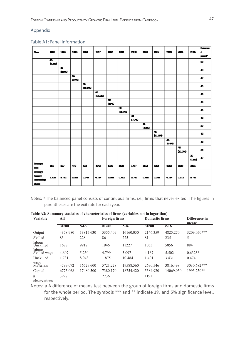#### Appendix

#### Table A1: Panel information

|                                         |                                  |                   |           |                                    |            |                    |             |                                    |                                   |                                     |                                        |                                         |                                  | <b>Belgram</b> |
|-----------------------------------------|----------------------------------|-------------------|-----------|------------------------------------|------------|--------------------|-------------|------------------------------------|-----------------------------------|-------------------------------------|----------------------------------------|-----------------------------------------|----------------------------------|----------------|
| Your C                                  | 188                              | 1.04              | 1565      | 1004                               | 1987       | 1005               | 1950        | 2000                               | 2001                              | 2002                                | 2003                                   | 2004                                    | 2005                             | d              |
|                                         |                                  |                   |           |                                    |            |                    |             |                                    |                                   |                                     |                                        |                                         |                                  | $\sim$         |
|                                         | $\overline{\phantom{a}}$<br>8.2% |                   |           |                                    |            |                    |             |                                    |                                   |                                     |                                        |                                         |                                  | Э              |
|                                         |                                  | ब<br><b>BLACK</b> |           |                                    |            |                    |             |                                    |                                   |                                     |                                        |                                         |                                  | 43             |
|                                         |                                  |                   | 匾<br>1000 |                                    |            |                    |             |                                    |                                   |                                     |                                        |                                         |                                  | £7             |
|                                         |                                  |                   |           | $\overline{\mathbf{z}}$<br>(11.55) |            |                    |             |                                    |                                   |                                     |                                        |                                         |                                  | 45             |
|                                         |                                  |                   |           |                                    | 盈<br>13.5% |                    |             |                                    |                                   |                                     |                                        |                                         |                                  | 45             |
|                                         |                                  |                   |           |                                    |            | $\bullet$<br>(125) |             |                                    |                                   |                                     |                                        |                                         |                                  | 43             |
|                                         |                                  |                   |           |                                    |            |                    | 园<br>(IDSN) |                                    |                                   |                                     |                                        |                                         |                                  | 45             |
|                                         |                                  |                   |           |                                    |            |                    |             | $\overline{\phantom{a}}$<br>(7.72) |                                   |                                     |                                        |                                         |                                  | 40             |
|                                         |                                  |                   |           |                                    |            |                    |             |                                    | $\overline{\mathbf{a}}$<br>(4.15) |                                     |                                        |                                         |                                  | 39             |
|                                         |                                  |                   |           |                                    |            |                    |             |                                    |                                   | $\overline{\phantom{a}}$<br>(11.15) |                                        |                                         |                                  | 40             |
|                                         |                                  |                   |           |                                    |            |                    |             |                                    |                                   |                                     | $\overline{\mathbf{a}}$<br><b>DOM:</b> |                                         |                                  | 40             |
|                                         |                                  |                   |           |                                    |            |                    |             |                                    |                                   |                                     |                                        | $\overline{\mathbf{a}}$<br><b>LELEN</b> |                                  | 35             |
|                                         |                                  |                   |           |                                    |            |                    |             |                                    |                                   |                                     |                                        |                                         | $\overline{\mathbf{z}}$<br>(135) | $\mathbf{r}$   |
| Average<br>ring of                      | 201                              | <b>W</b>          | 470       | 534                                | 1942       | 1250               | 25.32       | 1797                               | 1838                              | 3305                                | SHES.                                  | 1583                                    | 3401                             |                |
| Average<br>foreign<br>overskip<br>share | 0.720                            | 0.722             | 0.752     | 0.749                              | 0.764      | 0.70               | 0.62        | 0.765                              | <b>D.A.M.</b>                     | <b>1.75</b>                         | 0.784                                  | 0.772                                   | 0.701                            |                |

Notes: a The balanced panel consists of continuous firms, i.e., firms that never exited. The figures in parentheses are the exit rate for each year.

**Table A2: Summary statistics of characteristics of firms (variables not in logarithm)**

| Variable               | All      |             | <b>Foreign firms</b> |             | <b>Domestic firms</b> |             | Difference in     |
|------------------------|----------|-------------|----------------------|-------------|-----------------------|-------------|-------------------|
|                        |          |             |                      |             |                       |             | mean <sup>a</sup> |
|                        | Mean     | <b>S.D.</b> | Mean                 | <b>S.D.</b> | Mean                  | <b>S.D.</b> |                   |
| Output                 | 4378.980 | 13815.630   | 5355.409             | 16160.050   | 2146.359              | 4825.270    | 3209.050***       |
| Skilled                | 85       | 228         | 86                   | 225         | 81                    | 235         | 5                 |
| labour<br>Unskilled    | 1678     | 9912        | 1946                 | 11227       | 1063                  | 5856        | 884               |
| labour<br>Skilled wage | 4.607    | 5.230       | 4.799                | 5.097       | 4.167                 | 5.502       | $0.632**$         |
| Unskilled              | 1.731    | 8.948       | 1.875                | 10.484      | 1.401                 | 3.431       | 0.474             |
| wage<br>Materials      | 4799.072 | 16529.600   | 5721.228             | 19588.560   | 2690.546              | 3816.498    | 3030.682***       |
| Capital                | 6773.068 | 17480.500   | 7380.170             | 18754.420   | 5384.920              | 14069.030   | 1995.250**        |
| #                      | 3927     |             | 2736                 |             | 1191                  |             |                   |
| observations           |          |             |                      |             |                       |             |                   |

Notes: a A difference of means test between the group of foreign firms and domestic firms for the whole period. The symbols \*\*\* and \*\* indicate 1% and 5% significance level, respectively.